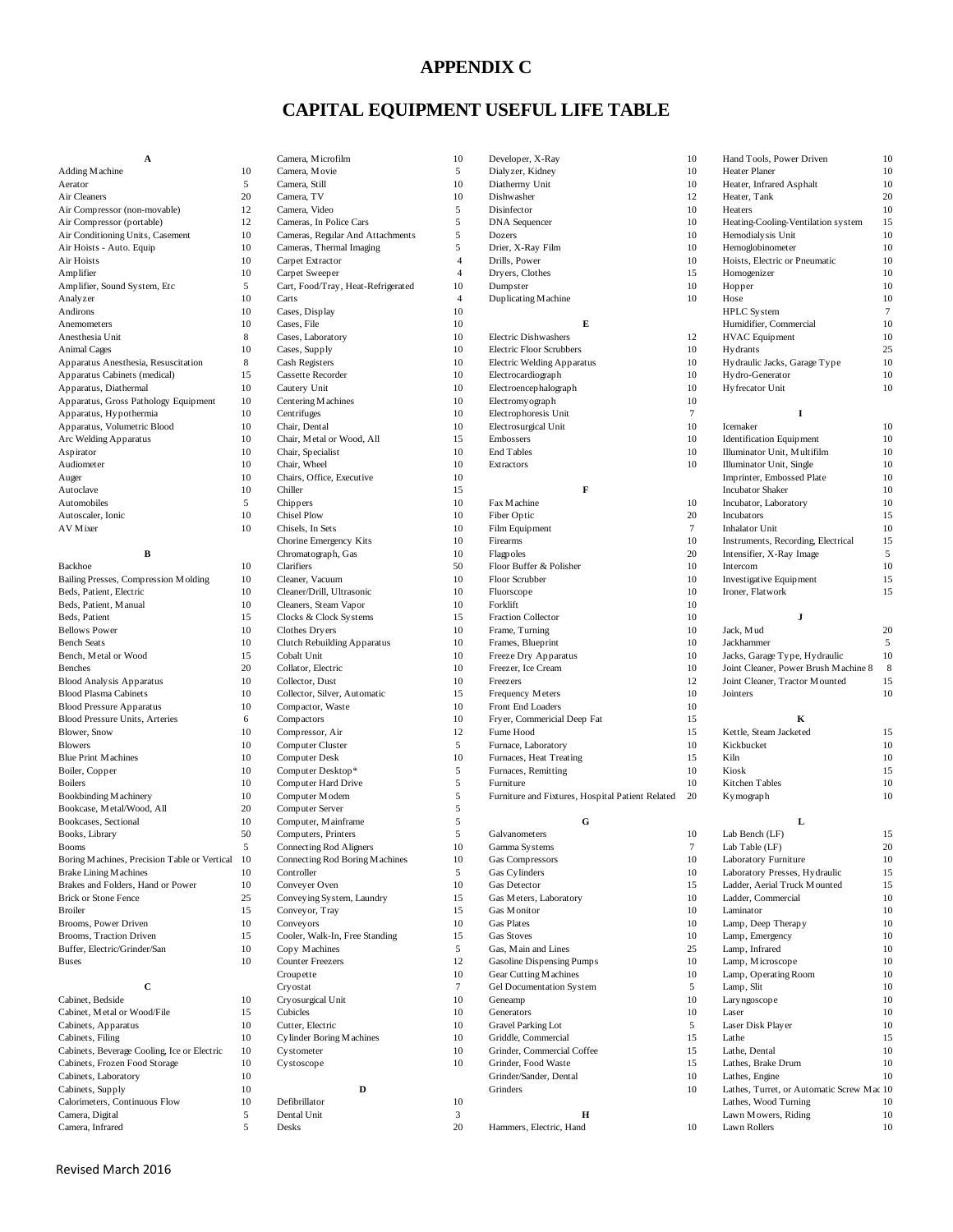#### **APPENDIX C**

### **CAPITAL EQUIPMENT USEFUL LIFE TABLE**

| А                                            |                |
|----------------------------------------------|----------------|
| Adding Machine                               | 1              |
| Aerator                                      |                |
| Air Cleaners                                 | 2              |
| Air Compressor (non-movable)                 | 1              |
| Air Compressor (portable)                    | 1              |
| Air Conditioning Units, Casement             | $\mathbf{1}$   |
| Air Hoists - Auto. Equip                     | 1              |
| Air Hoists                                   | 1              |
| Amplifier                                    | 1              |
| Amplifier, Sound System, Etc                 |                |
| Analyzer                                     | 1              |
| Andirons                                     | 1              |
| Anemometers                                  | 1              |
| Anesthesia Unit                              |                |
| <b>Animal Cages</b>                          | 1              |
| Apparatus Anesthesia, Resuscitation          | í              |
| Apparatus Cabinets (medical)                 | $\mathbf{1}$   |
| Apparatus, Diathermal                        | 1              |
| Apparatus, Gross Pathology Equipment         | 1              |
| Apparatus, Hypothermia                       | $\mathbf{1}$   |
| Apparatus, Volumetric Blood                  | 1              |
| Arc Welding Apparatus                        | 1              |
| Aspirator                                    | 1              |
| Audiometer                                   | 1              |
| Auger                                        | 1              |
| Autoclave                                    | 1              |
| Automobiles                                  |                |
| Autoscaler, Ionic                            | 1              |
| AV Mixer                                     | 1              |
| B                                            |                |
| Backhoe                                      | 1              |
| Bailing Presses, Compression Molding         | 1              |
| Beds, Patient, Electric                      | 1              |
| Beds, Patient, Manual                        | 1              |
| Beds, Patient                                | 1              |
| <b>Bellows Power</b>                         | 1              |
| <b>Bench Seats</b>                           | 1              |
| Bench, Metal or Wood                         | 1              |
| <b>Benches</b>                               | 2              |
| <b>Blood Analysis Apparatus</b>              | 1              |
| <b>Blood Plasma Cabinets</b>                 | $\mathbf{1}$   |
| <b>Blood Pressure Apparatus</b>              | 1              |
| Blood Pressure Units, Arteries               | I              |
| Blower, Snow                                 | 1              |
| <b>Blowers</b>                               | 1              |
| <b>Blue Print Machines</b>                   | $\mathbf{1}$   |
| Boiler, Copper                               | 1              |
| <b>Boilers</b>                               | 1              |
| Bookbinding Machinery                        | 1              |
| Bookcase, Metal/Wood, All                    | $\overline{c}$ |
| Bookcases, Sectional                         | 1              |
| Books, Library                               | 5              |
| <b>Booms</b>                                 |                |
| Boring Machines, Precision Table or Vertical | ı              |
| <b>Brake Lining Machines</b>                 | 1              |
| Brakes and Folders, Hand or Power            | 1              |
| <b>Brick or Stone Fence</b>                  | 2              |
| <b>Broiler</b>                               | 1              |
| Brooms, Power Driven                         | 1              |
| Brooms, Traction Driven                      |                |
| Buffer, Electric/Grinder/San                 | 1              |
|                                              | 1              |
| <b>Buses</b>                                 | 1              |
|                                              |                |
| с<br>Cabinet, Bedside                        | 1              |

| A                                                                 |                          | Camera, Microfilm                           | 10             |
|-------------------------------------------------------------------|--------------------------|---------------------------------------------|----------------|
| Adding Machine                                                    | 10                       | Camera, Movie                               | 5              |
| Aerator                                                           | 5                        | Camera, Still                               | 10             |
| Air Cleaners                                                      | 20                       | Camera, TV                                  | 10             |
| Air Compressor (non-movable)                                      | 12                       | Camera, Video                               | 5              |
| Air Compressor (portable)                                         | 12                       | Cameras, In Police Cars                     | 5              |
| Air Conditioning Units, Casement                                  | 10                       | Cameras, Regular And Attachments            | 5              |
| Air Hoists - Auto. Equip                                          | 10                       | Cameras, Thermal Imaging                    | 5              |
| Air Hoists                                                        | 10                       | Carpet Extractor                            | $\overline{4}$ |
| Amplifier                                                         | 10                       | Carpet Sweeper                              | $\overline{4}$ |
| Amplifier, Sound System, Etc                                      | 5<br>10                  | Cart, Food/Tray, Heat-Refrigerated<br>Carts | 10<br>4        |
| Analyzer<br>Andirons                                              | 10                       | Cases, Display                              | 10             |
| Anemometers                                                       | 10                       | Cases, File                                 | 10             |
| Anesthesia Unit                                                   | 8                        | Cases, Laboratory                           | 10             |
| <b>Animal Cages</b>                                               | 10                       | Cases, Supply                               | 10             |
| Apparatus Anesthesia, Resuscitation                               | 8                        | Cash Registers                              | 10             |
| Apparatus Cabinets (medical)                                      | 15                       | Cassette Recorder                           | 10             |
| Apparatus, Diathermal                                             | 10                       | Cautery Unit                                | 10             |
| Apparatus, Gross Pathology Equipment                              | 10                       | Centering Machines                          | 10             |
| Apparatus, Hypothermia                                            | 10                       | Centrifuges                                 | 10             |
| Apparatus, Volumetric Blood                                       | 10                       | Chair, Dental                               | 10             |
| Arc Welding Apparatus                                             | 10                       | Chair, Metal or Wood, All                   | 15             |
| Aspirator                                                         | 10                       | Chair, Specialist                           | 10             |
| Audiometer                                                        | 10                       | Chair, Wheel                                | 10             |
| Auger                                                             | 10                       | Chairs, Office, Executive                   | 10             |
| Autoclave                                                         | 10                       | Chiller                                     | 15             |
| Automobiles<br>Autoscaler, Ionic                                  | 5<br>10                  | Chippers<br><b>Chisel Plow</b>              | 10<br>10       |
| AV Mixer                                                          | 10                       | Chisels, In Sets                            | 10             |
|                                                                   |                          | Chorine Emergency Kits                      | 10             |
| B                                                                 |                          | Chromatograph, Gas                          | 10             |
| Backhoe                                                           | 10                       | Clarifiers                                  | 50             |
| Bailing Presses, Compression Molding                              | 10                       | Cleaner, Vacuum                             | 10             |
| Beds, Patient, Electric                                           | 10                       | Cleaner/Drill, Ultrasonic                   | 10             |
| Beds, Patient, Manual                                             | 10                       | Cleaners, Steam Vapor                       | 10             |
| Beds, Patient                                                     | 15                       | Clocks & Clock Systems                      | 15             |
| <b>Bellows Power</b>                                              | 10                       | Clothes Dryers                              | 10             |
| <b>Bench Seats</b>                                                | 10                       | <b>Clutch Rebuilding Apparatus</b>          | 10             |
| Bench, Metal or Wood                                              | 15                       | Cobalt Unit                                 | 10             |
| <b>Benches</b>                                                    | 20                       | Collator, Electric                          | 10             |
| <b>Blood Analysis Apparatus</b>                                   | 10                       | Collector, Dust                             | 10             |
| <b>Blood Plasma Cabinets</b><br><b>Blood Pressure Apparatus</b>   | 10<br>10                 | Collector, Silver, Automatic                | 15<br>10       |
| <b>Blood Pressure Units, Arteries</b>                             | 6                        | Compactor, Waste<br>Compactors              | 10             |
| Blower, Snow                                                      | 10                       | Compressor, Air                             | 12             |
| Blowers                                                           | 10                       | Computer Cluster                            | 5              |
| <b>Blue Print Machines</b>                                        | 10                       | Computer Desk                               | 10             |
| Boiler, Copper                                                    | 10                       | Computer Desktop*                           | 5              |
| Boilers                                                           | 10                       | Computer Hard Drive                         | 5              |
| <b>Bookbinding Machinery</b>                                      | 10                       | Computer Modem                              | 5              |
| Bookcase, Metal/Wood, All                                         | 20                       | Computer Server                             | 5              |
| Bookcases, Sectional                                              | 10                       | Computer, Mainframe                         | 5              |
| Books, Library                                                    | 50                       | Computers, Printers                         | 5              |
| Booms                                                             | 5                        | Connecting Rod Aligners                     | 10             |
| Boring Machines, Precision Table or Vertical                      | 10                       | Connecting Rod Boring Machines              | 10             |
| <b>Brake Lining Machines</b><br>Brakes and Folders, Hand or Power | 10                       | Controller                                  | 5              |
| <b>Brick or Stone Fence</b>                                       | 10<br>25                 | Conveyer Oven<br>Conveying System, Laundry  | 10<br>15       |
| <b>Broiler</b>                                                    | 15                       | Conveyor, Tray                              | 15             |
| Brooms, Power Driven                                              | 10                       | Conveyors                                   | 10             |
| Brooms, Traction Driven                                           | 15                       | Cooler, Walk-In, Free Standing              | 15             |
| Buffer, Electric/Grinder/San                                      | 10                       | Copy Machines                               | 5              |
| Buses                                                             | 10                       | <b>Counter Freezers</b>                     | 12             |
|                                                                   |                          | Croupette                                   | 10             |
| с                                                                 |                          | Cryostat                                    | 7              |
| Cabinet, Bedside                                                  | 10                       | Cryosurgical Unit                           | 10             |
| Cabinet, Metal or Wood/File                                       | 15                       | Cubicles                                    | 10             |
| Cabinets, Apparatus                                               | 10                       | Cutter, Electric                            | 10             |
| Cabinets, Filing                                                  | 10                       | Cylinder Boring Machines                    | 10             |
| Cabinets, Beverage Cooling, Ice or Electric                       | 10                       | Cystometer                                  | 10             |
| Cabinets, Frozen Food Storage                                     | 10                       | Cystoscope                                  | 10             |
| Cabinets, Laboratory                                              | 10                       |                                             |                |
| Cabinets, Supply                                                  | 10                       | D                                           |                |
| Calorimeters, Continuous Flow<br>Camera, Digital                  | 10<br>5                  | Defibrillator<br>Dental Unit                | 10<br>3        |
| Camera Infrared                                                   | $\overline{\phantom{0}}$ | Desks                                       | 20             |

| A                                               |    | Camera, Microfilm                  | 10             | Developer, X-Ray                                 | 10     | Hand Tools, Power Driven                  | 10     |
|-------------------------------------------------|----|------------------------------------|----------------|--------------------------------------------------|--------|-------------------------------------------|--------|
| Adding Machine                                  | 10 | Camera, Movie                      | 5              | Dialyzer, Kidney                                 | 10     | Heater Planer                             | 10     |
|                                                 |    |                                    |                |                                                  |        |                                           |        |
| Aerator                                         | 5  | Camera, Still                      | 10             | Diathermy Unit                                   | 10     | Heater, Infrared Asphalt                  | 10     |
| Air Cleaners                                    | 20 | Camera, TV                         | 10             | Dishwasher                                       | 12     | Heater, Tank                              | 20     |
| Air Compressor (non-movable)                    | 12 | Camera, Video                      | 5              | Disinfector                                      | 10     | Heaters                                   | 10     |
| Air Compressor (portable)                       | 12 | Cameras, In Police Cars            | 5              | <b>DNA</b> Sequencer                             | 10     | Heating-Cooling-Ventilation system        | 15     |
| Air Conditioning Units, Casement                | 10 | Cameras, Regular And Attachments   | 5              | Dozers                                           | 10     | Hemodialysis Unit                         | 10     |
| Air Hoists - Auto. Equip                        | 10 | Cameras, Thermal Imaging           | 5              | Drier, X-Ray Film                                | 10     | Hemoglobinometer                          | 10     |
| Air Hoists                                      | 10 | Carpet Extractor                   | $\overline{4}$ | Drills, Power                                    | 10     | Hoists, Electric or Pneumatic             | 10     |
| Amplifier                                       | 10 | Carpet Sweeper                     | $\overline{4}$ | Dryers, Clothes                                  | 15     | Homogenizer                               | 10     |
| Amplifier, Sound System, Etc                    | 5  | Cart, Food/Tray, Heat-Refrigerated | 10             | Dumpster                                         | 10     | Hopper                                    | 10     |
|                                                 | 10 |                                    | $\overline{4}$ |                                                  |        |                                           | 10     |
| Analyzer                                        |    | Carts                              |                | Duplicating Machine                              | 10     | Hose                                      |        |
| Andirons                                        | 10 | Cases, Display                     | 10             |                                                  |        | HPLC System                               | $\tau$ |
| Anemometers                                     | 10 | Cases, File                        | 10             | Е                                                |        | Humidifier, Commercial                    | 10     |
| Anesthesia Unit                                 | 8  | Cases, Laboratory                  | 10             | <b>Electric Dishwashers</b>                      | 12     | <b>HVAC</b> Equipment                     | 10     |
| <b>Animal Cages</b>                             | 10 | Cases, Supply                      | 10             | <b>Electric Floor Scrubbers</b>                  | 10     | Hydrants                                  | 25     |
| Apparatus Anesthesia, Resuscitation             | 8  | Cash Registers                     | 10             | <b>Electric Welding Apparatus</b>                | 10     | Hydraulic Jacks, Garage Type              | 10     |
| Apparatus Cabinets (medical)                    | 15 | Cassette Recorder                  | 10             | Electrocardiograph                               | 10     | Hydro-Generator                           | 10     |
| Apparatus, Diathermal                           | 10 | Cautery Unit                       | 10             | Electroencephalograph                            | 10     | Hyfrecator Unit                           | 10     |
| Apparatus, Gross Pathology Equipment            | 10 | Centering Machines                 | 10             | Electromy ograph                                 | 10     |                                           |        |
| Apparatus, Hypothermia                          | 10 | Centrifuges                        | 10             | Electrophoresis Unit                             | $\tau$ | $\bf{I}$                                  |        |
| Apparatus, Volumetric Blood                     | 10 | Chair, Dental                      | 10             | Electrosurgical Unit                             | 10     | Icemaker                                  | 10     |
|                                                 |    |                                    |                |                                                  |        |                                           |        |
| Arc Welding Apparatus                           | 10 | Chair, Metal or Wood, All          | 15             | Embossers                                        | 10     | <b>Identification Equipment</b>           | 10     |
| Aspirator                                       | 10 | Chair, Specialist                  | 10             | End Tables                                       | 10     | Illuminator Unit, Multifilm               | 10     |
| Audiometer                                      | 10 | Chair, Wheel                       | 10             | Extractors                                       | 10     | Illuminator Unit, Single                  | 10     |
| Auger                                           | 10 | Chairs, Office, Executive          | 10             |                                                  |        | Imprinter, Embossed Plate                 | 10     |
| Autoclave                                       | 10 | Chiller                            | 15             | F                                                |        | <b>Incubator Shaker</b>                   | 10     |
| Automobiles                                     | 5  | Chippers                           | 10             | Fax Machine                                      | 10     | Incubator, Laboratory                     | 10     |
| Autoscaler, Ionic                               | 10 | Chisel Plow                        | 10             | Fiber Optic                                      | 20     | Incubators                                | 15     |
| AV Mixer                                        | 10 | Chisels, In Sets                   | 10             | Film Equipment                                   | $\tau$ | <b>Inhalator Unit</b>                     | 10     |
|                                                 |    | Chorine Emergency Kits             | 10             | Firearms                                         | 10     | Instruments, Recording, Electrical        | 15     |
|                                                 |    |                                    |                |                                                  |        |                                           |        |
| B                                               |    | Chromatograph, Gas                 | 10             | Flagpoles                                        | 20     | Intensifier, X-Ray Image                  | 5      |
| Backhoe                                         | 10 | Clarifiers                         | 50             | Floor Buffer & Polisher                          | 10     | Intercom                                  | 10     |
| Bailing Presses, Compression Molding            | 10 | Cleaner, Vacuum                    | 10             | Floor Scrubber                                   | 10     | Investigative Equipment                   | 15     |
| Beds, Patient, Electric                         | 10 | Cleaner/Drill, Ultrasonic          | 10             | Fluorscope                                       | 10     | Ironer, Flatwork                          | 15     |
| Beds, Patient, Manual                           | 10 | Cleaners, Steam Vapor              | 10             | Forklift                                         | 10     |                                           |        |
| Beds, Patient                                   | 15 | Clocks & Clock Systems             | 15             | <b>Fraction Collector</b>                        | 10     | J                                         |        |
| <b>Bellows Power</b>                            | 10 | Clothes Dryers                     | 10             | Frame, Turning                                   | 10     | Jack, Mud                                 | 20     |
| <b>Bench Seats</b>                              | 10 | <b>Clutch Rebuilding Apparatus</b> | 10             | Frames, Blueprint                                | 10     | Jackhammer                                | 5      |
| Bench, Metal or Wood                            | 15 | Cobalt Unit                        | 10             | Freeze Dry Apparatus                             | 10     | Jacks, Garage Type, Hydraulic             | 10     |
|                                                 | 20 |                                    | 10             | Freezer, Ice Cream                               | 10     | Joint Cleaner, Power Brush Machine 8      | 8      |
| <b>Benches</b>                                  |    | Collator, Electric                 |                |                                                  |        |                                           |        |
| <b>Blood Analysis Apparatus</b>                 | 10 | Collector, Dust                    | 10             | Freezers                                         | 12     | Joint Cleaner, Tractor Mounted            | 15     |
| <b>Blood Plasma Cabinets</b>                    | 10 | Collector, Silver, Automatic       | 15             | Frequency Meters                                 | 10     | Jointers                                  | 10     |
| <b>Blood Pressure Apparatus</b>                 | 10 | Compactor, Waste                   | 10             | Front End Loaders                                | 10     |                                           |        |
| Blood Pressure Units, Arteries                  | 6  | Compactors                         | 10             | Fryer, Commericial Deep Fat                      | 15     | K                                         |        |
| Blower, Snow                                    | 10 | Compressor, Air                    | 12             | Fume Hood                                        | 15     | Kettle, Steam Jacketed                    | 15     |
| <b>Blowers</b>                                  | 10 | Computer Cluster                   | 5              | Furnace, Laboratory                              | 10     | Kickbucket                                | 10     |
| <b>Blue Print Machines</b>                      | 10 | Computer Desk                      | 10             | Furnaces, Heat Treating                          | 15     | Kiln                                      | 10     |
| Boiler, Copper                                  | 10 | Computer Desktop*                  | 5              | Furnaces, Remitting                              | 10     | Kiosk                                     | 15     |
| <b>Boilers</b>                                  | 10 | Computer Hard Drive                | 5              | Furniture                                        | 10     | Kitchen Tables                            | 10     |
|                                                 | 10 |                                    | 5              |                                                  |        |                                           | 10     |
| Bookbinding Machinery                           |    | Computer Modem                     |                | Furniture and Fixtures, Hospital Patient Related | 20     | Kymograph                                 |        |
| Bookcase, Metal/Wood, All                       | 20 | Computer Server                    | 5              |                                                  |        |                                           |        |
| Bookcases, Sectional                            | 10 | Computer, Mainframe                | 5              | G                                                |        | г                                         |        |
| Books, Library                                  | 50 | Computers, Printers                | 5              | Galvanometers                                    | 10     | Lab Bench (LF)                            | 15     |
| Booms                                           |    | <b>Connecting Rod Aligners</b>     | 10             | Gamma Systems                                    | $\tau$ | Lab Table (LF)                            | 20     |
| Boring Machines, Precision Table or Vertical 10 |    | Connecting Rod Boring Machines     | 10             | Gas Compressors                                  | 10     | Laboratory Furniture                      | 10     |
| <b>Brake Lining Machines</b>                    | 10 | Controller                         | 5              | Gas Cylinders                                    | 10     | Laboratory Presses, Hydraulic             | 15     |
| Brakes and Folders, Hand or Power               | 10 | Conveyer Oven                      | 10             | Gas Detector                                     | 15     | Ladder, Aerial Truck Mounted              | 15     |
| <b>Brick or Stone Fence</b>                     | 25 | Conveying System, Laundry          | 15             | Gas Meters, Laboratory                           | 10     | Ladder, Commercial                        | 10     |
|                                                 |    |                                    |                |                                                  |        |                                           |        |
| <b>Broiler</b>                                  | 15 | Conveyor, Tray                     | 15             | Gas Monitor                                      | 10     | Laminator                                 | 10     |
| Brooms, Power Driven                            | 10 | Conveyors                          | 10             | Gas Plates                                       | 10     | Lamp, Deep Therapy                        | 10     |
| Brooms, Traction Driven                         | 15 | Cooler, Walk-In, Free Standing     | 15             | <b>Gas Stoves</b>                                | 10     | Lamp, Emergency                           | 10     |
| Buffer, Electric/Grinder/San                    | 10 | Copy Machines                      | 5              | Gas, Main and Lines                              | 25     | Lamp, Infrared                            | 10     |
| <b>Buses</b>                                    | 10 | <b>Counter Freezers</b>            | 12             | Gasoline Dispensing Pumps                        | 10     | Lamp, Microscope                          | 10     |
|                                                 |    | Croupette                          | 10             | Gear Cutting Machines                            | 10     | Lamp, Operating Room                      | 10     |
| С                                               |    | Cryostat                           | $\tau$         | Gel Documentation System                         | 5      | Lamp, Slit                                | 10     |
| Cabinet, Bedside                                | 10 | Cryosurgical Unit                  | 10             | Geneamp                                          | 10     | Laryngoscope                              | 10     |
| Cabinet, Metal or Wood/File                     | 15 | Cubicles                           | 10             | Generators                                       | 10     | Laser                                     | 10     |
|                                                 | 10 | Cutter, Electric                   | 10             | <b>Gravel Parking Lot</b>                        | 5      | Laser Disk Player                         | 10     |
| Cabinets, Apparatus                             |    |                                    |                |                                                  |        |                                           |        |
| Cabinets, Filing                                | 10 | Cylinder Boring Machines           | 10             | Griddle, Commercial                              | 15     | Lathe                                     | 15     |
| Cabinets, Beverage Cooling, Ice or Electric     | 10 | Cystometer                         | 10             | Grinder, Commercial Coffee                       | 15     | Lathe, Dental                             | 10     |
| Cabinets, Frozen Food Storage                   | 10 | Cystoscope                         | 10             | Grinder, Food Waste                              | 15     | Lathes, Brake Drum                        | 10     |
| Cabinets, Laboratory                            | 10 |                                    |                | Grinder/Sander, Dental                           | 10     | Lathes, Engine                            | 10     |
| Cabinets, Supply                                | 10 | D                                  |                | Grinders                                         | 10     | Lathes, Turret, or Automatic Screw Mac 10 |        |
| Calorimeters, Continuous Flow                   | 10 | Defibrillator                      | 10             |                                                  |        | Lathes, Wood Turning                      | 10     |
| Camera, Digital                                 | 5  | Dental Unit                        | 3              | н                                                |        | Lawn Mowers, Riding                       | 10     |
| Camera, Infrared                                | 5  | Desks                              | 20             | Hammers, Electric, Hand                          | 10     | Lawn Rollers                              | 10     |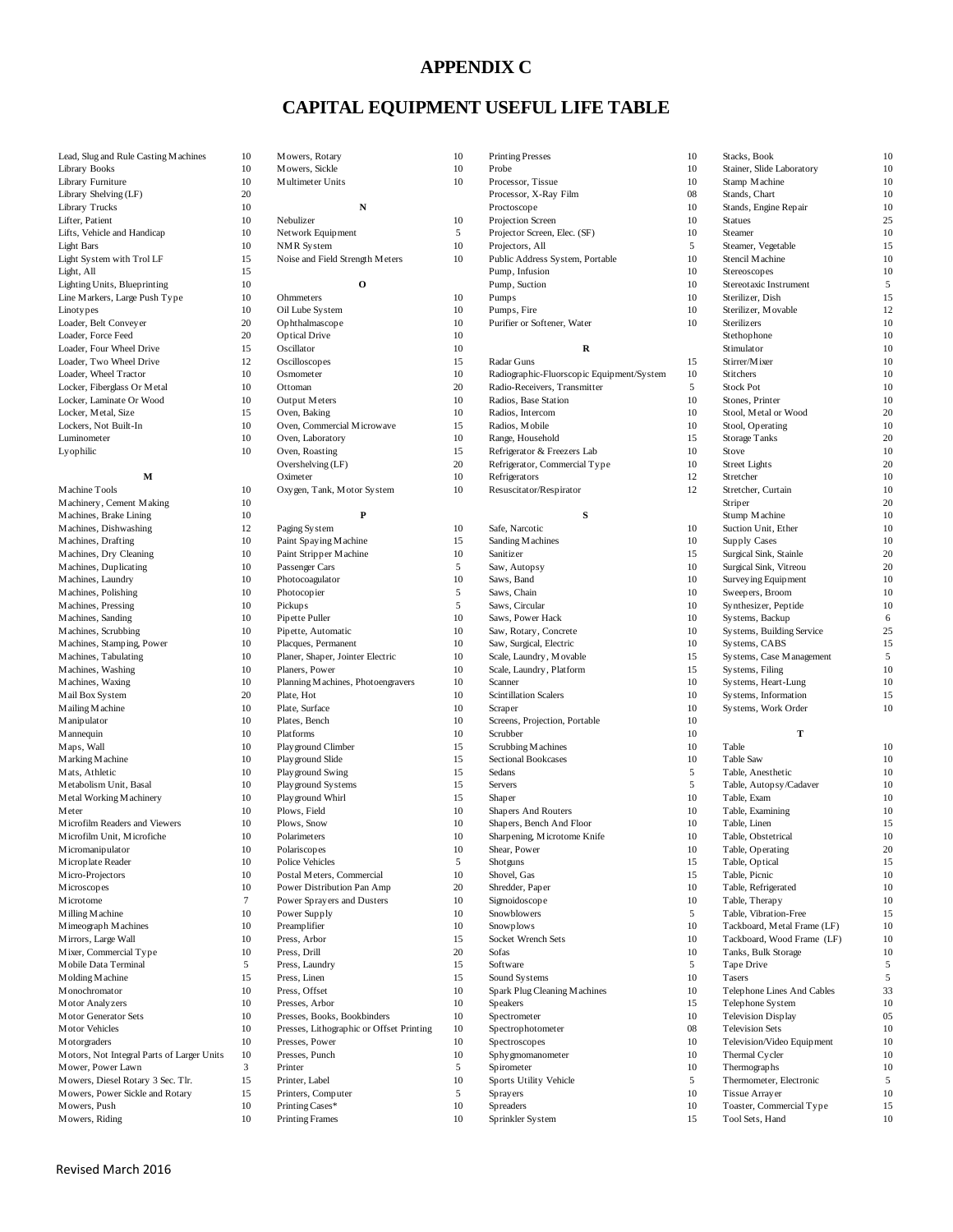#### **APPENDIX C**

### **CAPITAL EQUIPMENT USEFUL LIFE TABLE**

| Lead, Slug and Rule Casting Machines                            | 10       | Mowers, Rotary                                      | 10       |
|-----------------------------------------------------------------|----------|-----------------------------------------------------|----------|
| Library Books                                                   | 10       | Mowers, Sickle                                      | 10       |
| Library Furniture                                               | 10       | Multimeter Units                                    | 10       |
| Library Shelving (LF)                                           | 20       |                                                     |          |
| Library Trucks                                                  | 10       | N                                                   |          |
| Lifter, Patient                                                 | 10       | Nebulizer                                           | 10       |
| Lifts, Vehicle and Handicap                                     | 10       | Network Equipment<br>NMR System                     | 5<br>10  |
| Light Bars<br>Light System with Trol LF                         | 10<br>15 | Noise and Field Strength Meters                     | 10       |
| Light, All                                                      | 15       |                                                     |          |
| Lighting Units, Blueprinting                                    | 10       | O                                                   |          |
| Line Markers, Large Push Type                                   | 10       | Ohmmeters                                           | 10       |
| Linotypes                                                       | 10       | Oil Lube System                                     | 10       |
| Loader, Belt Conveyer                                           | 20       | Ophthalmascope                                      | 10       |
| Loader, Force Feed                                              | 20       | <b>Optical Drive</b>                                | 10       |
| Loader, Four Wheel Drive                                        | 15       | Oscillator                                          | 10       |
| Loader, Two Wheel Drive                                         | 12       | Oscilloscopes                                       | 15       |
| Loader, Wheel Tractor                                           | 10       | Osmometer                                           | 10       |
| Locker, Fiberglass Or Metal                                     | 10       | Ottoman                                             | 20       |
| Locker, Laminate Or Wood                                        | 10       | Output Meters                                       | 10       |
| Locker, Metal, Size                                             | 15       | Oven, Baking                                        | 10       |
| Lockers, Not Built-In                                           | 10       | Oven, Commercial Microwave                          | 15       |
| Luminometer<br>Lyophilic                                        | 10<br>10 | Oven, Laboratory<br>Oven, Roasting                  | 10<br>15 |
|                                                                 |          | Overshelving (LF)                                   | 20       |
| м                                                               |          | Oximeter                                            | 10       |
| Machine Tools                                                   | 10       | Oxygen, Tank, Motor System                          | 10       |
| Machinery, Cement Making                                        | 10       |                                                     |          |
| Machines, Brake Lining                                          | 10       | P                                                   |          |
| Machines, Dishwashing                                           | 12       | Paging System                                       | 10       |
| Machines, Drafting                                              | 10       | Paint Spaying Machine                               | 15       |
| Machines, Dry Cleaning                                          | 10       | Paint Stripper Machine                              | 10       |
| Machines, Duplicating                                           | 10       | Passenger Cars                                      | 5        |
| Machines, Laundry                                               | 10       | Photocoagulator                                     | 10       |
| Machines, Polishing                                             | 10       | Photocopier                                         | 5        |
| Machines, Pressing                                              | 10       | Pickups                                             | 5        |
| Machines, Sanding                                               | 10       | Pipette Puller                                      | 10       |
| Machines, Scrubbing                                             | 10       | Pipette, Automatic                                  | 10       |
| Machines, Stamping, Power                                       | 10       | Placques, Permanent                                 | 10       |
| Machines, Tabulating                                            | 10<br>10 | Planer, Shaper, Jointer Electric                    | 10<br>10 |
| Machines, Washing<br>Machines, Waxing                           | 10       | Planers, Power<br>Planning Machines, Photoengravers | 10       |
| Mail Box System                                                 | 20       | Plate, Hot                                          | 10       |
| Mailing Machine                                                 | 10       | Plate, Surface                                      | 10       |
| M anipulator                                                    | 10       | Plates, Bench                                       | 10       |
| M annequin                                                      | 10       | Platforms                                           | 10       |
| Maps, Wall                                                      | 10       | Play ground Climber                                 | 15       |
| M arking M achine                                               | 10       | Play ground Slide                                   | 15       |
| Mats, Athletic                                                  | 10       | Play ground Swing                                   | 15       |
| Metabolism Unit, Basal                                          | 10       | Play ground Systems                                 | 15       |
| Metal Working Machinery                                         | 10       | Play ground Whirl                                   | 15       |
| Meter                                                           | 10       | Plows, Field                                        | 10       |
| Microfilm Readers and Viewers                                   | 10       | Plows, Snow                                         | 10       |
| Microfilm Unit, Microfiche                                      | 10       | Polarimeters                                        | 10       |
| Micromanipulator                                                | 10<br>10 | Polariscopes<br>Police Vehicles                     | 10<br>5  |
| Microplate Reader<br>Micro-Projectors                           | 10       | Postal Meters, Commercial                           | 10       |
| Microscopes                                                     | 10       | Power Distribution Pan Amp                          | 20       |
| <b>M</b> icrotome                                               | 7        | Power Sprayers and Dusters                          | 10       |
| Milling Machine                                                 | 10       | Power Supply                                        | 10       |
| M imeograph M achines                                           | 10       | Preamplifier                                        | 10       |
| Mirrors, Large Wall                                             | 10       | Press, Arbor                                        | 15       |
| Mixer, Commercial Type                                          | 10       | Press, Drill                                        | 20       |
| Mobile Data Terminal                                            | 5        | Press, Laundry                                      | 15       |
| Molding Machine                                                 | 15       | Press, Linen                                        | 15       |
| M onochromator                                                  | 10       | Press, Offset                                       | 10       |
| Motor Analyzers                                                 | 10       | Presses, Arbor                                      | 10       |
| Motor Generator Sets                                            | 10       | Presses, Books, Bookbinders                         | 10       |
| Motor Vehicles                                                  | 10       | Presses, Lithographic or Offset Printing            | 10       |
| M otorgraders                                                   | 10       | Presses, Power                                      | 10       |
| Motors, Not Integral Parts of Larger Units<br>Mower, Power Lawn | 10<br>3  | Presses, Punch<br>Printer                           | 10<br>5  |
| Mowers, Diesel Rotary 3 Sec. Tlr.                               | 15       | Printer, Label                                      | 10       |
| Mowers, Power Sickle and Rotary                                 | 15       | Printers, Computer                                  | 5        |
| Mowers, Push                                                    | 10       | Printing Cases*                                     | 10       |
| Mowers, Riding                                                  | 10       | <b>Printing Frames</b>                              | 10       |

| 10<br>Lead, Slug and Rule Casting Machines<br>10<br>Mowers, Rotary<br>10<br><b>Printing Presses</b><br>10<br>Stacks, Book<br>10<br>Library Books<br>10<br>Mowers, Sickle<br>10<br>Probe<br>10<br>Stainer, Slide Laboratory<br>10<br>10<br>10<br>10<br>Library Furniture<br>Multimeter Units<br>Processor, Tissue<br>Stamp Machine<br>Library Shelving (LF)<br>20<br>Processor, X-Ray Film<br>08<br>Stands, Chart<br>10<br>10<br>${\bf N}$<br>10<br>10<br>Library Trucks<br>Proctoscope<br>Stands, Engine Repair<br>Lifter, Patient<br>10<br>Nebulizer<br>10<br>Projection Screen<br>10<br><b>Statues</b><br>25<br>10<br>5<br>10<br>10<br>Lifts, Vehicle and Handicap<br>Network Equipment<br>Projector Screen, Elec. (SF)<br>Steamer<br>5<br>10<br>10<br><b>Light Bars</b><br>NMR System<br>Steamer, Vegetable<br>15<br>Projectors, All<br>15<br>10<br>10<br>Light System with Trol LF<br>Noise and Field Strength Meters<br>10<br>Public Address System, Portable<br>Stencil Machine<br>15<br>Pump, Infusion<br>10<br>Stereoscopes<br>10<br>Light, All<br>10<br>$\mathbf{o}$<br>10<br>5<br>Lighting Units, Blueprinting<br>Pump, Suction<br>Stereotaxic Instrument<br>Line Markers, Large Push Type<br>10<br>Ohmmeters<br>10<br>Pumps<br>10<br>Sterilizer, Dish<br>15<br>10<br>10<br>12<br>10<br>Oil Lube System<br>Pumps, Fire<br>Sterilizer, Movable<br>Linotypes<br>20<br>Loader, Belt Conveyer<br>Ophthalmascope<br>10<br>Purifier or Softener, Water<br>10<br>Sterilizers<br>10<br>20<br>Loader, Force Feed<br><b>Optical Drive</b><br>10<br>10<br>Stethophone<br>15<br>${\bf R}$<br>Loader, Four Wheel Drive<br>Oscillator<br>10<br>Stimulator<br>10<br>12<br>15<br>10<br>Loader, Two Wheel Drive<br>Oscilloscopes<br>15<br>Radar Guns<br>Stirrer/Mixer<br>Loader, Wheel Tractor<br>10<br>Osmometer<br>10<br>Radiographic-Fluorscopic Equipment/System<br>10<br>Stitchers<br>10<br>10<br>20<br>5<br>10<br>Locker, Fiberglass Or Metal<br>Radio-Receivers, Transmitter<br><b>Stock Pot</b><br>Ottoman<br>10<br>Locker, Laminate Or Wood<br>10<br>Output Meters<br>Radios, Base Station<br>10<br>Stones, Printer<br>10<br>15<br>10<br>10<br>20<br>Locker, Metal, Size<br>Oven, Baking<br>Stool, Metal or Wood<br>Radios, Intercom<br>Lockers, Not Built-In<br>10<br>Oven, Commercial Microwave<br>15<br>10<br>Stool, Operating<br>10<br>Radios, Mobile<br>10<br>10<br>15<br>Oven, Laboratory<br><b>Storage Tanks</b><br>20<br>Luminometer<br>Range, Household<br>15<br>Lyophilic<br>10<br>Oven, Roasting<br>Refrigerator & Freezers Lab<br>10<br>Stove<br>10<br>Overshelving (LF)<br>20<br>20<br>Refrigerator, Commercial Type<br>10<br><b>Street Lights</b><br>M<br>Oximeter<br>10<br>Refrigerators<br>12<br>Stretcher<br>10<br>10<br>12<br>Machine Tools<br>10<br>Oxygen, Tank, Motor System<br>Resuscitator/Respirator<br>Stretcher, Curtain<br>10<br>Machinery, Cement Making<br>10<br>Striper<br>20<br>${\bf S}$<br>10<br>P<br>10<br>Machines, Brake Lining<br>Stump Machine<br>Machines, Dishwashing<br>12<br>Paging System<br>10<br>Safe, Narcotic<br>10<br>Suction Unit, Ether<br>10<br>10<br>Paint Spaying Machine<br>15<br>Sanding Machines<br>10<br>10<br>Machines, Drafting<br>Supply Cases<br>10<br>20<br>Machines, Dry Cleaning<br>10<br>Paint Stripper Machine<br>15<br>Surgical Sink, Stainle<br>Sanitizer<br>10<br>5<br>10<br>20<br>Machines, Duplicating<br>Saw, Autopsy<br>Surgical Sink, Vitreou<br>Passenger Cars<br>Machines, Laundry<br>10<br>Photocoagulator<br>10<br>Saws, Band<br>10<br>Survey ing Equipment<br>10<br>10<br>5<br>10<br>10<br>Machines, Polishing<br>Photocopier<br>Saws, Chain<br>Sweepers, Broom<br>Machines, Pressing<br>10<br>Pickups<br>5<br>Saws, Circular<br>10<br>Synthesizer, Peptide<br>10<br>10<br>10<br>10<br>6<br>Pipette Puller<br>Saws, Power Hack<br>Systems, Backup<br>Machines, Sanding<br>10<br>10<br>Systems, Building Service<br>25<br>Machines, Scrubbing<br>10<br>Pipette, Automatic<br>Saw, Rotary, Concrete<br>10<br>15<br>Placques, Permanent<br>10<br>Saw, Surgical, Electric<br>10<br>Systems, CABS<br>Machines, Stamping, Power<br>10<br>5<br>Machines, Tabulating<br>10<br>Planer, Shaper, Jointer Electric<br>Scale, Laundry, Movable<br>15<br>Systems, Case Management<br>10<br>10<br>10<br>Machines, Washing<br>Planers, Power<br>Scale, Laundry, Platform<br>15<br>Systems, Filing<br>10<br>10<br>Machines, Waxing<br>10<br>Planning Machines, Photoengravers<br>Scanner<br>Systems, Heart-Lung<br>10<br>20<br>Plate, Hot<br>10<br>Scintillation Scalers<br>10<br>Systems, Information<br>15<br>Mail Box System<br>Plate, Surface<br>10<br>Mailing Machine<br>10<br>Scraper<br>10<br>Systems, Work Order<br>10<br>10<br>Plates, Bench<br>10<br>10<br>M anipulator<br>Screens, Projection, Portable<br>10<br>т<br>M annequin<br>10<br>Platforms<br>Scrubber<br>10<br>10<br>Maps, Wall<br>10<br>Play ground Climber<br>15<br>Scrubbing Machines<br>10<br>Table<br>10<br>Marking Machine<br>10<br>Play ground Slide<br>15<br>Sectional Bookcases<br>Table Saw<br>10<br>5<br>Mats, Athletic<br>10<br>Play ground Swing<br>15<br>Sedans<br>Table, Anesthetic<br>10<br>5<br>Metabolism Unit, Basal<br>10<br>Play ground Systems<br>15<br>Servers<br>Table, Autopsy/Cadaver<br>10<br>10<br>10<br>Play ground Whirl<br>15<br>Table, Exam<br>10<br>Metal Working Machinery<br>Shaper<br>10<br>Plows, Field<br>10<br>Shapers And Routers<br>10<br>Table, Examining<br>10<br>Meter<br>10<br>10<br>10<br>15<br>Microfilm Readers and Viewers<br>Plows, Snow<br>Shapers, Bench And Floor<br>Table, Linen<br>10<br>10<br>10<br>10<br>Microfilm Unit, Microfiche<br>Sharpening, Microtome Knife<br>Table, Obstetrical<br>Polarimeters<br>20<br>Micromanipulator<br>10<br>10<br>Shear, Power<br>10<br>Table, Operating<br>Polariscopes<br>Microplate Reader<br>10<br>Police Vehicles<br>5<br>15<br>Table, Optical<br>15<br>Shotguns<br>Micro-Projectors<br>Table, Picnic<br>10<br>Postal Meters, Commercial<br>10<br>Shovel, Gas<br>15<br>10<br>20<br><b>M</b> icroscopes<br>10<br>Power Distribution Pan Amp<br>Shredder, Paper<br>10<br>Table, Refrigerated<br>10<br><b>M</b> icrotome<br>7<br>Power Sprayers and Dusters<br>10<br>Sigmoidoscope<br>10<br>Table, Therapy<br>10<br>Milling Machine<br>10<br>Power Supply<br>10<br>Snowblowers<br>5<br>Table, Vibration-Free<br>15<br>Mimeograph Machines<br>10<br>Preamplifier<br>10<br>Snowplows<br>10<br>Tackboard, Metal Frame (LF)<br>10<br>Mirrors, Large Wall<br>10<br>Press, Arbor<br>15<br>Socket Wrench Sets<br>10<br>Tackboard, Wood Frame (LF)<br>10<br>Press, Drill<br>Mixer, Commercial Type<br>10<br>20<br>Sofas<br>10<br>Tanks, Bulk Storage<br>10<br>5<br>Mobile Data Terminal<br>5<br>Press, Laundry<br>15<br>Software<br>5<br>Tape Drive<br>15<br>Press, Linen<br>15<br>5<br>Molding Machine<br>Sound Systems<br>10<br>Tasers<br>Press, Offset<br>33<br>M onochromator<br>10<br>10<br>Spark Plug Cleaning Machines<br>10<br>Telephone Lines And Cables<br>10<br>Motor Analyzers<br>10<br>Presses, Arbor<br>10<br>Speakers<br>15<br>Telephone System<br>Motor Generator Sets<br>10<br>Presses, Books, Bookbinders<br>10<br>Spectrometer<br>10<br><b>Television Display</b><br>05<br><b>Motor Vehicles</b><br>10<br>Presses, Lithographic or Offset Printing<br>10<br>Spectrophotometer<br>08<br><b>Television Sets</b><br>10<br>M otorgraders<br>10<br>Presses, Power<br>10<br>Spectroscopes<br>10<br>Television/Video Equipment<br>10<br>Motors, Not Integral Parts of Larger Units<br>10<br>Presses, Punch<br>10<br>Sphy gmomanometer<br>10<br>Thermal Cycler<br>10<br>3<br>Mower, Power Lawn<br>Printer<br>5<br>Spirometer<br>10<br>Thermographs<br>10<br>15<br>5<br>5<br>Mowers, Diesel Rotary 3 Sec. Tlr.<br>Printer, Label<br>10<br>Sports Utility Vehicle<br>Thermometer, Electronic<br>15<br>10<br>Mowers, Power Sickle and Rotary<br>Printers, Computer<br>5<br>Sprayers<br>10<br>Tissue Arrayer<br>10<br>Mowers, Push<br>Printing Cases*<br>10<br>Spreaders<br>10<br>Toaster, Commercial Type<br>15<br>Mowers, Riding<br>10<br><b>Printing Frames</b><br>10<br>Sprinkler System<br>15<br>Tool Sets, Hand<br>10 |  |  |  |  |
|------------------------------------------------------------------------------------------------------------------------------------------------------------------------------------------------------------------------------------------------------------------------------------------------------------------------------------------------------------------------------------------------------------------------------------------------------------------------------------------------------------------------------------------------------------------------------------------------------------------------------------------------------------------------------------------------------------------------------------------------------------------------------------------------------------------------------------------------------------------------------------------------------------------------------------------------------------------------------------------------------------------------------------------------------------------------------------------------------------------------------------------------------------------------------------------------------------------------------------------------------------------------------------------------------------------------------------------------------------------------------------------------------------------------------------------------------------------------------------------------------------------------------------------------------------------------------------------------------------------------------------------------------------------------------------------------------------------------------------------------------------------------------------------------------------------------------------------------------------------------------------------------------------------------------------------------------------------------------------------------------------------------------------------------------------------------------------------------------------------------------------------------------------------------------------------------------------------------------------------------------------------------------------------------------------------------------------------------------------------------------------------------------------------------------------------------------------------------------------------------------------------------------------------------------------------------------------------------------------------------------------------------------------------------------------------------------------------------------------------------------------------------------------------------------------------------------------------------------------------------------------------------------------------------------------------------------------------------------------------------------------------------------------------------------------------------------------------------------------------------------------------------------------------------------------------------------------------------------------------------------------------------------------------------------------------------------------------------------------------------------------------------------------------------------------------------------------------------------------------------------------------------------------------------------------------------------------------------------------------------------------------------------------------------------------------------------------------------------------------------------------------------------------------------------------------------------------------------------------------------------------------------------------------------------------------------------------------------------------------------------------------------------------------------------------------------------------------------------------------------------------------------------------------------------------------------------------------------------------------------------------------------------------------------------------------------------------------------------------------------------------------------------------------------------------------------------------------------------------------------------------------------------------------------------------------------------------------------------------------------------------------------------------------------------------------------------------------------------------------------------------------------------------------------------------------------------------------------------------------------------------------------------------------------------------------------------------------------------------------------------------------------------------------------------------------------------------------------------------------------------------------------------------------------------------------------------------------------------------------------------------------------------------------------------------------------------------------------------------------------------------------------------------------------------------------------------------------------------------------------------------------------------------------------------------------------------------------------------------------------------------------------------------------------------------------------------------------------------------------------------------------------------------------------------------------------------------------------------------------------------------------------------------------------------------------------------------------------------------------------------------------------------------------------------------------------------------------------------------------------------------------------------------------------------------------------------------------------------------------------------------------------------------------------------------------------------------------------------------------------------------------------------------------------------------------------------------------------------------------------------------------------------------------------------------------------------------------------------------------------------------------------------------------------------------------------------------------------------------------------------------------------------------------------------------------------------------------------------------------------------------------------------------------------------------------------------------------------------------------------------------------------------------------------------------------------------------------------------------------------------------------------------------------------------------------------------------------------------------------------------------------------------------------------------------------------------------------------------------------------------------------------------------------------------------------------------------------------------------------------------------------------------------------------------------------------------------------------------------------------------------------------------------------------------------------------------------------------------------------------------------------------------------------------------------------------------------------------------------------------------------------------------------------------------------------------------------------------------------------------------------------------------------------------------------------------------------------------------------------------------------------------------------|--|--|--|--|
|                                                                                                                                                                                                                                                                                                                                                                                                                                                                                                                                                                                                                                                                                                                                                                                                                                                                                                                                                                                                                                                                                                                                                                                                                                                                                                                                                                                                                                                                                                                                                                                                                                                                                                                                                                                                                                                                                                                                                                                                                                                                                                                                                                                                                                                                                                                                                                                                                                                                                                                                                                                                                                                                                                                                                                                                                                                                                                                                                                                                                                                                                                                                                                                                                                                                                                                                                                                                                                                                                                                                                                                                                                                                                                                                                                                                                                                                                                                                                                                                                                                                                                                                                                                                                                                                                                                                                                                                                                                                                                                                                                                                                                                                                                                                                                                                                                                                                                                                                                                                                                                                                                                                                                                                                                                                                                                                                                                                                                                                                                                                                                                                                                                                                                                                                                                                                                                                                                                                                                                                                                                                                                                                                                                                                                                                                                                                                                                                                                                                                                                                                                                                                                                                                                                                                                                                                                                                                                                                                                                                                                                                                                                                                                                                                                                                                                                                                                                                                                                                                                                                                                                                                                                                                                                                                                                                                                                                                                                                                                                                                                                                                                                                                            |  |  |  |  |
|                                                                                                                                                                                                                                                                                                                                                                                                                                                                                                                                                                                                                                                                                                                                                                                                                                                                                                                                                                                                                                                                                                                                                                                                                                                                                                                                                                                                                                                                                                                                                                                                                                                                                                                                                                                                                                                                                                                                                                                                                                                                                                                                                                                                                                                                                                                                                                                                                                                                                                                                                                                                                                                                                                                                                                                                                                                                                                                                                                                                                                                                                                                                                                                                                                                                                                                                                                                                                                                                                                                                                                                                                                                                                                                                                                                                                                                                                                                                                                                                                                                                                                                                                                                                                                                                                                                                                                                                                                                                                                                                                                                                                                                                                                                                                                                                                                                                                                                                                                                                                                                                                                                                                                                                                                                                                                                                                                                                                                                                                                                                                                                                                                                                                                                                                                                                                                                                                                                                                                                                                                                                                                                                                                                                                                                                                                                                                                                                                                                                                                                                                                                                                                                                                                                                                                                                                                                                                                                                                                                                                                                                                                                                                                                                                                                                                                                                                                                                                                                                                                                                                                                                                                                                                                                                                                                                                                                                                                                                                                                                                                                                                                                                                            |  |  |  |  |
|                                                                                                                                                                                                                                                                                                                                                                                                                                                                                                                                                                                                                                                                                                                                                                                                                                                                                                                                                                                                                                                                                                                                                                                                                                                                                                                                                                                                                                                                                                                                                                                                                                                                                                                                                                                                                                                                                                                                                                                                                                                                                                                                                                                                                                                                                                                                                                                                                                                                                                                                                                                                                                                                                                                                                                                                                                                                                                                                                                                                                                                                                                                                                                                                                                                                                                                                                                                                                                                                                                                                                                                                                                                                                                                                                                                                                                                                                                                                                                                                                                                                                                                                                                                                                                                                                                                                                                                                                                                                                                                                                                                                                                                                                                                                                                                                                                                                                                                                                                                                                                                                                                                                                                                                                                                                                                                                                                                                                                                                                                                                                                                                                                                                                                                                                                                                                                                                                                                                                                                                                                                                                                                                                                                                                                                                                                                                                                                                                                                                                                                                                                                                                                                                                                                                                                                                                                                                                                                                                                                                                                                                                                                                                                                                                                                                                                                                                                                                                                                                                                                                                                                                                                                                                                                                                                                                                                                                                                                                                                                                                                                                                                                                                            |  |  |  |  |
|                                                                                                                                                                                                                                                                                                                                                                                                                                                                                                                                                                                                                                                                                                                                                                                                                                                                                                                                                                                                                                                                                                                                                                                                                                                                                                                                                                                                                                                                                                                                                                                                                                                                                                                                                                                                                                                                                                                                                                                                                                                                                                                                                                                                                                                                                                                                                                                                                                                                                                                                                                                                                                                                                                                                                                                                                                                                                                                                                                                                                                                                                                                                                                                                                                                                                                                                                                                                                                                                                                                                                                                                                                                                                                                                                                                                                                                                                                                                                                                                                                                                                                                                                                                                                                                                                                                                                                                                                                                                                                                                                                                                                                                                                                                                                                                                                                                                                                                                                                                                                                                                                                                                                                                                                                                                                                                                                                                                                                                                                                                                                                                                                                                                                                                                                                                                                                                                                                                                                                                                                                                                                                                                                                                                                                                                                                                                                                                                                                                                                                                                                                                                                                                                                                                                                                                                                                                                                                                                                                                                                                                                                                                                                                                                                                                                                                                                                                                                                                                                                                                                                                                                                                                                                                                                                                                                                                                                                                                                                                                                                                                                                                                                                            |  |  |  |  |
|                                                                                                                                                                                                                                                                                                                                                                                                                                                                                                                                                                                                                                                                                                                                                                                                                                                                                                                                                                                                                                                                                                                                                                                                                                                                                                                                                                                                                                                                                                                                                                                                                                                                                                                                                                                                                                                                                                                                                                                                                                                                                                                                                                                                                                                                                                                                                                                                                                                                                                                                                                                                                                                                                                                                                                                                                                                                                                                                                                                                                                                                                                                                                                                                                                                                                                                                                                                                                                                                                                                                                                                                                                                                                                                                                                                                                                                                                                                                                                                                                                                                                                                                                                                                                                                                                                                                                                                                                                                                                                                                                                                                                                                                                                                                                                                                                                                                                                                                                                                                                                                                                                                                                                                                                                                                                                                                                                                                                                                                                                                                                                                                                                                                                                                                                                                                                                                                                                                                                                                                                                                                                                                                                                                                                                                                                                                                                                                                                                                                                                                                                                                                                                                                                                                                                                                                                                                                                                                                                                                                                                                                                                                                                                                                                                                                                                                                                                                                                                                                                                                                                                                                                                                                                                                                                                                                                                                                                                                                                                                                                                                                                                                                                            |  |  |  |  |
|                                                                                                                                                                                                                                                                                                                                                                                                                                                                                                                                                                                                                                                                                                                                                                                                                                                                                                                                                                                                                                                                                                                                                                                                                                                                                                                                                                                                                                                                                                                                                                                                                                                                                                                                                                                                                                                                                                                                                                                                                                                                                                                                                                                                                                                                                                                                                                                                                                                                                                                                                                                                                                                                                                                                                                                                                                                                                                                                                                                                                                                                                                                                                                                                                                                                                                                                                                                                                                                                                                                                                                                                                                                                                                                                                                                                                                                                                                                                                                                                                                                                                                                                                                                                                                                                                                                                                                                                                                                                                                                                                                                                                                                                                                                                                                                                                                                                                                                                                                                                                                                                                                                                                                                                                                                                                                                                                                                                                                                                                                                                                                                                                                                                                                                                                                                                                                                                                                                                                                                                                                                                                                                                                                                                                                                                                                                                                                                                                                                                                                                                                                                                                                                                                                                                                                                                                                                                                                                                                                                                                                                                                                                                                                                                                                                                                                                                                                                                                                                                                                                                                                                                                                                                                                                                                                                                                                                                                                                                                                                                                                                                                                                                                            |  |  |  |  |
|                                                                                                                                                                                                                                                                                                                                                                                                                                                                                                                                                                                                                                                                                                                                                                                                                                                                                                                                                                                                                                                                                                                                                                                                                                                                                                                                                                                                                                                                                                                                                                                                                                                                                                                                                                                                                                                                                                                                                                                                                                                                                                                                                                                                                                                                                                                                                                                                                                                                                                                                                                                                                                                                                                                                                                                                                                                                                                                                                                                                                                                                                                                                                                                                                                                                                                                                                                                                                                                                                                                                                                                                                                                                                                                                                                                                                                                                                                                                                                                                                                                                                                                                                                                                                                                                                                                                                                                                                                                                                                                                                                                                                                                                                                                                                                                                                                                                                                                                                                                                                                                                                                                                                                                                                                                                                                                                                                                                                                                                                                                                                                                                                                                                                                                                                                                                                                                                                                                                                                                                                                                                                                                                                                                                                                                                                                                                                                                                                                                                                                                                                                                                                                                                                                                                                                                                                                                                                                                                                                                                                                                                                                                                                                                                                                                                                                                                                                                                                                                                                                                                                                                                                                                                                                                                                                                                                                                                                                                                                                                                                                                                                                                                                            |  |  |  |  |
|                                                                                                                                                                                                                                                                                                                                                                                                                                                                                                                                                                                                                                                                                                                                                                                                                                                                                                                                                                                                                                                                                                                                                                                                                                                                                                                                                                                                                                                                                                                                                                                                                                                                                                                                                                                                                                                                                                                                                                                                                                                                                                                                                                                                                                                                                                                                                                                                                                                                                                                                                                                                                                                                                                                                                                                                                                                                                                                                                                                                                                                                                                                                                                                                                                                                                                                                                                                                                                                                                                                                                                                                                                                                                                                                                                                                                                                                                                                                                                                                                                                                                                                                                                                                                                                                                                                                                                                                                                                                                                                                                                                                                                                                                                                                                                                                                                                                                                                                                                                                                                                                                                                                                                                                                                                                                                                                                                                                                                                                                                                                                                                                                                                                                                                                                                                                                                                                                                                                                                                                                                                                                                                                                                                                                                                                                                                                                                                                                                                                                                                                                                                                                                                                                                                                                                                                                                                                                                                                                                                                                                                                                                                                                                                                                                                                                                                                                                                                                                                                                                                                                                                                                                                                                                                                                                                                                                                                                                                                                                                                                                                                                                                                                            |  |  |  |  |
|                                                                                                                                                                                                                                                                                                                                                                                                                                                                                                                                                                                                                                                                                                                                                                                                                                                                                                                                                                                                                                                                                                                                                                                                                                                                                                                                                                                                                                                                                                                                                                                                                                                                                                                                                                                                                                                                                                                                                                                                                                                                                                                                                                                                                                                                                                                                                                                                                                                                                                                                                                                                                                                                                                                                                                                                                                                                                                                                                                                                                                                                                                                                                                                                                                                                                                                                                                                                                                                                                                                                                                                                                                                                                                                                                                                                                                                                                                                                                                                                                                                                                                                                                                                                                                                                                                                                                                                                                                                                                                                                                                                                                                                                                                                                                                                                                                                                                                                                                                                                                                                                                                                                                                                                                                                                                                                                                                                                                                                                                                                                                                                                                                                                                                                                                                                                                                                                                                                                                                                                                                                                                                                                                                                                                                                                                                                                                                                                                                                                                                                                                                                                                                                                                                                                                                                                                                                                                                                                                                                                                                                                                                                                                                                                                                                                                                                                                                                                                                                                                                                                                                                                                                                                                                                                                                                                                                                                                                                                                                                                                                                                                                                                                            |  |  |  |  |
|                                                                                                                                                                                                                                                                                                                                                                                                                                                                                                                                                                                                                                                                                                                                                                                                                                                                                                                                                                                                                                                                                                                                                                                                                                                                                                                                                                                                                                                                                                                                                                                                                                                                                                                                                                                                                                                                                                                                                                                                                                                                                                                                                                                                                                                                                                                                                                                                                                                                                                                                                                                                                                                                                                                                                                                                                                                                                                                                                                                                                                                                                                                                                                                                                                                                                                                                                                                                                                                                                                                                                                                                                                                                                                                                                                                                                                                                                                                                                                                                                                                                                                                                                                                                                                                                                                                                                                                                                                                                                                                                                                                                                                                                                                                                                                                                                                                                                                                                                                                                                                                                                                                                                                                                                                                                                                                                                                                                                                                                                                                                                                                                                                                                                                                                                                                                                                                                                                                                                                                                                                                                                                                                                                                                                                                                                                                                                                                                                                                                                                                                                                                                                                                                                                                                                                                                                                                                                                                                                                                                                                                                                                                                                                                                                                                                                                                                                                                                                                                                                                                                                                                                                                                                                                                                                                                                                                                                                                                                                                                                                                                                                                                                                            |  |  |  |  |
|                                                                                                                                                                                                                                                                                                                                                                                                                                                                                                                                                                                                                                                                                                                                                                                                                                                                                                                                                                                                                                                                                                                                                                                                                                                                                                                                                                                                                                                                                                                                                                                                                                                                                                                                                                                                                                                                                                                                                                                                                                                                                                                                                                                                                                                                                                                                                                                                                                                                                                                                                                                                                                                                                                                                                                                                                                                                                                                                                                                                                                                                                                                                                                                                                                                                                                                                                                                                                                                                                                                                                                                                                                                                                                                                                                                                                                                                                                                                                                                                                                                                                                                                                                                                                                                                                                                                                                                                                                                                                                                                                                                                                                                                                                                                                                                                                                                                                                                                                                                                                                                                                                                                                                                                                                                                                                                                                                                                                                                                                                                                                                                                                                                                                                                                                                                                                                                                                                                                                                                                                                                                                                                                                                                                                                                                                                                                                                                                                                                                                                                                                                                                                                                                                                                                                                                                                                                                                                                                                                                                                                                                                                                                                                                                                                                                                                                                                                                                                                                                                                                                                                                                                                                                                                                                                                                                                                                                                                                                                                                                                                                                                                                                                            |  |  |  |  |
|                                                                                                                                                                                                                                                                                                                                                                                                                                                                                                                                                                                                                                                                                                                                                                                                                                                                                                                                                                                                                                                                                                                                                                                                                                                                                                                                                                                                                                                                                                                                                                                                                                                                                                                                                                                                                                                                                                                                                                                                                                                                                                                                                                                                                                                                                                                                                                                                                                                                                                                                                                                                                                                                                                                                                                                                                                                                                                                                                                                                                                                                                                                                                                                                                                                                                                                                                                                                                                                                                                                                                                                                                                                                                                                                                                                                                                                                                                                                                                                                                                                                                                                                                                                                                                                                                                                                                                                                                                                                                                                                                                                                                                                                                                                                                                                                                                                                                                                                                                                                                                                                                                                                                                                                                                                                                                                                                                                                                                                                                                                                                                                                                                                                                                                                                                                                                                                                                                                                                                                                                                                                                                                                                                                                                                                                                                                                                                                                                                                                                                                                                                                                                                                                                                                                                                                                                                                                                                                                                                                                                                                                                                                                                                                                                                                                                                                                                                                                                                                                                                                                                                                                                                                                                                                                                                                                                                                                                                                                                                                                                                                                                                                                                            |  |  |  |  |
|                                                                                                                                                                                                                                                                                                                                                                                                                                                                                                                                                                                                                                                                                                                                                                                                                                                                                                                                                                                                                                                                                                                                                                                                                                                                                                                                                                                                                                                                                                                                                                                                                                                                                                                                                                                                                                                                                                                                                                                                                                                                                                                                                                                                                                                                                                                                                                                                                                                                                                                                                                                                                                                                                                                                                                                                                                                                                                                                                                                                                                                                                                                                                                                                                                                                                                                                                                                                                                                                                                                                                                                                                                                                                                                                                                                                                                                                                                                                                                                                                                                                                                                                                                                                                                                                                                                                                                                                                                                                                                                                                                                                                                                                                                                                                                                                                                                                                                                                                                                                                                                                                                                                                                                                                                                                                                                                                                                                                                                                                                                                                                                                                                                                                                                                                                                                                                                                                                                                                                                                                                                                                                                                                                                                                                                                                                                                                                                                                                                                                                                                                                                                                                                                                                                                                                                                                                                                                                                                                                                                                                                                                                                                                                                                                                                                                                                                                                                                                                                                                                                                                                                                                                                                                                                                                                                                                                                                                                                                                                                                                                                                                                                                                            |  |  |  |  |
|                                                                                                                                                                                                                                                                                                                                                                                                                                                                                                                                                                                                                                                                                                                                                                                                                                                                                                                                                                                                                                                                                                                                                                                                                                                                                                                                                                                                                                                                                                                                                                                                                                                                                                                                                                                                                                                                                                                                                                                                                                                                                                                                                                                                                                                                                                                                                                                                                                                                                                                                                                                                                                                                                                                                                                                                                                                                                                                                                                                                                                                                                                                                                                                                                                                                                                                                                                                                                                                                                                                                                                                                                                                                                                                                                                                                                                                                                                                                                                                                                                                                                                                                                                                                                                                                                                                                                                                                                                                                                                                                                                                                                                                                                                                                                                                                                                                                                                                                                                                                                                                                                                                                                                                                                                                                                                                                                                                                                                                                                                                                                                                                                                                                                                                                                                                                                                                                                                                                                                                                                                                                                                                                                                                                                                                                                                                                                                                                                                                                                                                                                                                                                                                                                                                                                                                                                                                                                                                                                                                                                                                                                                                                                                                                                                                                                                                                                                                                                                                                                                                                                                                                                                                                                                                                                                                                                                                                                                                                                                                                                                                                                                                                                            |  |  |  |  |
|                                                                                                                                                                                                                                                                                                                                                                                                                                                                                                                                                                                                                                                                                                                                                                                                                                                                                                                                                                                                                                                                                                                                                                                                                                                                                                                                                                                                                                                                                                                                                                                                                                                                                                                                                                                                                                                                                                                                                                                                                                                                                                                                                                                                                                                                                                                                                                                                                                                                                                                                                                                                                                                                                                                                                                                                                                                                                                                                                                                                                                                                                                                                                                                                                                                                                                                                                                                                                                                                                                                                                                                                                                                                                                                                                                                                                                                                                                                                                                                                                                                                                                                                                                                                                                                                                                                                                                                                                                                                                                                                                                                                                                                                                                                                                                                                                                                                                                                                                                                                                                                                                                                                                                                                                                                                                                                                                                                                                                                                                                                                                                                                                                                                                                                                                                                                                                                                                                                                                                                                                                                                                                                                                                                                                                                                                                                                                                                                                                                                                                                                                                                                                                                                                                                                                                                                                                                                                                                                                                                                                                                                                                                                                                                                                                                                                                                                                                                                                                                                                                                                                                                                                                                                                                                                                                                                                                                                                                                                                                                                                                                                                                                                                            |  |  |  |  |
|                                                                                                                                                                                                                                                                                                                                                                                                                                                                                                                                                                                                                                                                                                                                                                                                                                                                                                                                                                                                                                                                                                                                                                                                                                                                                                                                                                                                                                                                                                                                                                                                                                                                                                                                                                                                                                                                                                                                                                                                                                                                                                                                                                                                                                                                                                                                                                                                                                                                                                                                                                                                                                                                                                                                                                                                                                                                                                                                                                                                                                                                                                                                                                                                                                                                                                                                                                                                                                                                                                                                                                                                                                                                                                                                                                                                                                                                                                                                                                                                                                                                                                                                                                                                                                                                                                                                                                                                                                                                                                                                                                                                                                                                                                                                                                                                                                                                                                                                                                                                                                                                                                                                                                                                                                                                                                                                                                                                                                                                                                                                                                                                                                                                                                                                                                                                                                                                                                                                                                                                                                                                                                                                                                                                                                                                                                                                                                                                                                                                                                                                                                                                                                                                                                                                                                                                                                                                                                                                                                                                                                                                                                                                                                                                                                                                                                                                                                                                                                                                                                                                                                                                                                                                                                                                                                                                                                                                                                                                                                                                                                                                                                                                                            |  |  |  |  |
|                                                                                                                                                                                                                                                                                                                                                                                                                                                                                                                                                                                                                                                                                                                                                                                                                                                                                                                                                                                                                                                                                                                                                                                                                                                                                                                                                                                                                                                                                                                                                                                                                                                                                                                                                                                                                                                                                                                                                                                                                                                                                                                                                                                                                                                                                                                                                                                                                                                                                                                                                                                                                                                                                                                                                                                                                                                                                                                                                                                                                                                                                                                                                                                                                                                                                                                                                                                                                                                                                                                                                                                                                                                                                                                                                                                                                                                                                                                                                                                                                                                                                                                                                                                                                                                                                                                                                                                                                                                                                                                                                                                                                                                                                                                                                                                                                                                                                                                                                                                                                                                                                                                                                                                                                                                                                                                                                                                                                                                                                                                                                                                                                                                                                                                                                                                                                                                                                                                                                                                                                                                                                                                                                                                                                                                                                                                                                                                                                                                                                                                                                                                                                                                                                                                                                                                                                                                                                                                                                                                                                                                                                                                                                                                                                                                                                                                                                                                                                                                                                                                                                                                                                                                                                                                                                                                                                                                                                                                                                                                                                                                                                                                                                            |  |  |  |  |
|                                                                                                                                                                                                                                                                                                                                                                                                                                                                                                                                                                                                                                                                                                                                                                                                                                                                                                                                                                                                                                                                                                                                                                                                                                                                                                                                                                                                                                                                                                                                                                                                                                                                                                                                                                                                                                                                                                                                                                                                                                                                                                                                                                                                                                                                                                                                                                                                                                                                                                                                                                                                                                                                                                                                                                                                                                                                                                                                                                                                                                                                                                                                                                                                                                                                                                                                                                                                                                                                                                                                                                                                                                                                                                                                                                                                                                                                                                                                                                                                                                                                                                                                                                                                                                                                                                                                                                                                                                                                                                                                                                                                                                                                                                                                                                                                                                                                                                                                                                                                                                                                                                                                                                                                                                                                                                                                                                                                                                                                                                                                                                                                                                                                                                                                                                                                                                                                                                                                                                                                                                                                                                                                                                                                                                                                                                                                                                                                                                                                                                                                                                                                                                                                                                                                                                                                                                                                                                                                                                                                                                                                                                                                                                                                                                                                                                                                                                                                                                                                                                                                                                                                                                                                                                                                                                                                                                                                                                                                                                                                                                                                                                                                                            |  |  |  |  |
|                                                                                                                                                                                                                                                                                                                                                                                                                                                                                                                                                                                                                                                                                                                                                                                                                                                                                                                                                                                                                                                                                                                                                                                                                                                                                                                                                                                                                                                                                                                                                                                                                                                                                                                                                                                                                                                                                                                                                                                                                                                                                                                                                                                                                                                                                                                                                                                                                                                                                                                                                                                                                                                                                                                                                                                                                                                                                                                                                                                                                                                                                                                                                                                                                                                                                                                                                                                                                                                                                                                                                                                                                                                                                                                                                                                                                                                                                                                                                                                                                                                                                                                                                                                                                                                                                                                                                                                                                                                                                                                                                                                                                                                                                                                                                                                                                                                                                                                                                                                                                                                                                                                                                                                                                                                                                                                                                                                                                                                                                                                                                                                                                                                                                                                                                                                                                                                                                                                                                                                                                                                                                                                                                                                                                                                                                                                                                                                                                                                                                                                                                                                                                                                                                                                                                                                                                                                                                                                                                                                                                                                                                                                                                                                                                                                                                                                                                                                                                                                                                                                                                                                                                                                                                                                                                                                                                                                                                                                                                                                                                                                                                                                                                            |  |  |  |  |
|                                                                                                                                                                                                                                                                                                                                                                                                                                                                                                                                                                                                                                                                                                                                                                                                                                                                                                                                                                                                                                                                                                                                                                                                                                                                                                                                                                                                                                                                                                                                                                                                                                                                                                                                                                                                                                                                                                                                                                                                                                                                                                                                                                                                                                                                                                                                                                                                                                                                                                                                                                                                                                                                                                                                                                                                                                                                                                                                                                                                                                                                                                                                                                                                                                                                                                                                                                                                                                                                                                                                                                                                                                                                                                                                                                                                                                                                                                                                                                                                                                                                                                                                                                                                                                                                                                                                                                                                                                                                                                                                                                                                                                                                                                                                                                                                                                                                                                                                                                                                                                                                                                                                                                                                                                                                                                                                                                                                                                                                                                                                                                                                                                                                                                                                                                                                                                                                                                                                                                                                                                                                                                                                                                                                                                                                                                                                                                                                                                                                                                                                                                                                                                                                                                                                                                                                                                                                                                                                                                                                                                                                                                                                                                                                                                                                                                                                                                                                                                                                                                                                                                                                                                                                                                                                                                                                                                                                                                                                                                                                                                                                                                                                                            |  |  |  |  |
|                                                                                                                                                                                                                                                                                                                                                                                                                                                                                                                                                                                                                                                                                                                                                                                                                                                                                                                                                                                                                                                                                                                                                                                                                                                                                                                                                                                                                                                                                                                                                                                                                                                                                                                                                                                                                                                                                                                                                                                                                                                                                                                                                                                                                                                                                                                                                                                                                                                                                                                                                                                                                                                                                                                                                                                                                                                                                                                                                                                                                                                                                                                                                                                                                                                                                                                                                                                                                                                                                                                                                                                                                                                                                                                                                                                                                                                                                                                                                                                                                                                                                                                                                                                                                                                                                                                                                                                                                                                                                                                                                                                                                                                                                                                                                                                                                                                                                                                                                                                                                                                                                                                                                                                                                                                                                                                                                                                                                                                                                                                                                                                                                                                                                                                                                                                                                                                                                                                                                                                                                                                                                                                                                                                                                                                                                                                                                                                                                                                                                                                                                                                                                                                                                                                                                                                                                                                                                                                                                                                                                                                                                                                                                                                                                                                                                                                                                                                                                                                                                                                                                                                                                                                                                                                                                                                                                                                                                                                                                                                                                                                                                                                                                            |  |  |  |  |
|                                                                                                                                                                                                                                                                                                                                                                                                                                                                                                                                                                                                                                                                                                                                                                                                                                                                                                                                                                                                                                                                                                                                                                                                                                                                                                                                                                                                                                                                                                                                                                                                                                                                                                                                                                                                                                                                                                                                                                                                                                                                                                                                                                                                                                                                                                                                                                                                                                                                                                                                                                                                                                                                                                                                                                                                                                                                                                                                                                                                                                                                                                                                                                                                                                                                                                                                                                                                                                                                                                                                                                                                                                                                                                                                                                                                                                                                                                                                                                                                                                                                                                                                                                                                                                                                                                                                                                                                                                                                                                                                                                                                                                                                                                                                                                                                                                                                                                                                                                                                                                                                                                                                                                                                                                                                                                                                                                                                                                                                                                                                                                                                                                                                                                                                                                                                                                                                                                                                                                                                                                                                                                                                                                                                                                                                                                                                                                                                                                                                                                                                                                                                                                                                                                                                                                                                                                                                                                                                                                                                                                                                                                                                                                                                                                                                                                                                                                                                                                                                                                                                                                                                                                                                                                                                                                                                                                                                                                                                                                                                                                                                                                                                                            |  |  |  |  |
|                                                                                                                                                                                                                                                                                                                                                                                                                                                                                                                                                                                                                                                                                                                                                                                                                                                                                                                                                                                                                                                                                                                                                                                                                                                                                                                                                                                                                                                                                                                                                                                                                                                                                                                                                                                                                                                                                                                                                                                                                                                                                                                                                                                                                                                                                                                                                                                                                                                                                                                                                                                                                                                                                                                                                                                                                                                                                                                                                                                                                                                                                                                                                                                                                                                                                                                                                                                                                                                                                                                                                                                                                                                                                                                                                                                                                                                                                                                                                                                                                                                                                                                                                                                                                                                                                                                                                                                                                                                                                                                                                                                                                                                                                                                                                                                                                                                                                                                                                                                                                                                                                                                                                                                                                                                                                                                                                                                                                                                                                                                                                                                                                                                                                                                                                                                                                                                                                                                                                                                                                                                                                                                                                                                                                                                                                                                                                                                                                                                                                                                                                                                                                                                                                                                                                                                                                                                                                                                                                                                                                                                                                                                                                                                                                                                                                                                                                                                                                                                                                                                                                                                                                                                                                                                                                                                                                                                                                                                                                                                                                                                                                                                                                            |  |  |  |  |
|                                                                                                                                                                                                                                                                                                                                                                                                                                                                                                                                                                                                                                                                                                                                                                                                                                                                                                                                                                                                                                                                                                                                                                                                                                                                                                                                                                                                                                                                                                                                                                                                                                                                                                                                                                                                                                                                                                                                                                                                                                                                                                                                                                                                                                                                                                                                                                                                                                                                                                                                                                                                                                                                                                                                                                                                                                                                                                                                                                                                                                                                                                                                                                                                                                                                                                                                                                                                                                                                                                                                                                                                                                                                                                                                                                                                                                                                                                                                                                                                                                                                                                                                                                                                                                                                                                                                                                                                                                                                                                                                                                                                                                                                                                                                                                                                                                                                                                                                                                                                                                                                                                                                                                                                                                                                                                                                                                                                                                                                                                                                                                                                                                                                                                                                                                                                                                                                                                                                                                                                                                                                                                                                                                                                                                                                                                                                                                                                                                                                                                                                                                                                                                                                                                                                                                                                                                                                                                                                                                                                                                                                                                                                                                                                                                                                                                                                                                                                                                                                                                                                                                                                                                                                                                                                                                                                                                                                                                                                                                                                                                                                                                                                                            |  |  |  |  |
|                                                                                                                                                                                                                                                                                                                                                                                                                                                                                                                                                                                                                                                                                                                                                                                                                                                                                                                                                                                                                                                                                                                                                                                                                                                                                                                                                                                                                                                                                                                                                                                                                                                                                                                                                                                                                                                                                                                                                                                                                                                                                                                                                                                                                                                                                                                                                                                                                                                                                                                                                                                                                                                                                                                                                                                                                                                                                                                                                                                                                                                                                                                                                                                                                                                                                                                                                                                                                                                                                                                                                                                                                                                                                                                                                                                                                                                                                                                                                                                                                                                                                                                                                                                                                                                                                                                                                                                                                                                                                                                                                                                                                                                                                                                                                                                                                                                                                                                                                                                                                                                                                                                                                                                                                                                                                                                                                                                                                                                                                                                                                                                                                                                                                                                                                                                                                                                                                                                                                                                                                                                                                                                                                                                                                                                                                                                                                                                                                                                                                                                                                                                                                                                                                                                                                                                                                                                                                                                                                                                                                                                                                                                                                                                                                                                                                                                                                                                                                                                                                                                                                                                                                                                                                                                                                                                                                                                                                                                                                                                                                                                                                                                                                            |  |  |  |  |
|                                                                                                                                                                                                                                                                                                                                                                                                                                                                                                                                                                                                                                                                                                                                                                                                                                                                                                                                                                                                                                                                                                                                                                                                                                                                                                                                                                                                                                                                                                                                                                                                                                                                                                                                                                                                                                                                                                                                                                                                                                                                                                                                                                                                                                                                                                                                                                                                                                                                                                                                                                                                                                                                                                                                                                                                                                                                                                                                                                                                                                                                                                                                                                                                                                                                                                                                                                                                                                                                                                                                                                                                                                                                                                                                                                                                                                                                                                                                                                                                                                                                                                                                                                                                                                                                                                                                                                                                                                                                                                                                                                                                                                                                                                                                                                                                                                                                                                                                                                                                                                                                                                                                                                                                                                                                                                                                                                                                                                                                                                                                                                                                                                                                                                                                                                                                                                                                                                                                                                                                                                                                                                                                                                                                                                                                                                                                                                                                                                                                                                                                                                                                                                                                                                                                                                                                                                                                                                                                                                                                                                                                                                                                                                                                                                                                                                                                                                                                                                                                                                                                                                                                                                                                                                                                                                                                                                                                                                                                                                                                                                                                                                                                                            |  |  |  |  |
|                                                                                                                                                                                                                                                                                                                                                                                                                                                                                                                                                                                                                                                                                                                                                                                                                                                                                                                                                                                                                                                                                                                                                                                                                                                                                                                                                                                                                                                                                                                                                                                                                                                                                                                                                                                                                                                                                                                                                                                                                                                                                                                                                                                                                                                                                                                                                                                                                                                                                                                                                                                                                                                                                                                                                                                                                                                                                                                                                                                                                                                                                                                                                                                                                                                                                                                                                                                                                                                                                                                                                                                                                                                                                                                                                                                                                                                                                                                                                                                                                                                                                                                                                                                                                                                                                                                                                                                                                                                                                                                                                                                                                                                                                                                                                                                                                                                                                                                                                                                                                                                                                                                                                                                                                                                                                                                                                                                                                                                                                                                                                                                                                                                                                                                                                                                                                                                                                                                                                                                                                                                                                                                                                                                                                                                                                                                                                                                                                                                                                                                                                                                                                                                                                                                                                                                                                                                                                                                                                                                                                                                                                                                                                                                                                                                                                                                                                                                                                                                                                                                                                                                                                                                                                                                                                                                                                                                                                                                                                                                                                                                                                                                                                            |  |  |  |  |
|                                                                                                                                                                                                                                                                                                                                                                                                                                                                                                                                                                                                                                                                                                                                                                                                                                                                                                                                                                                                                                                                                                                                                                                                                                                                                                                                                                                                                                                                                                                                                                                                                                                                                                                                                                                                                                                                                                                                                                                                                                                                                                                                                                                                                                                                                                                                                                                                                                                                                                                                                                                                                                                                                                                                                                                                                                                                                                                                                                                                                                                                                                                                                                                                                                                                                                                                                                                                                                                                                                                                                                                                                                                                                                                                                                                                                                                                                                                                                                                                                                                                                                                                                                                                                                                                                                                                                                                                                                                                                                                                                                                                                                                                                                                                                                                                                                                                                                                                                                                                                                                                                                                                                                                                                                                                                                                                                                                                                                                                                                                                                                                                                                                                                                                                                                                                                                                                                                                                                                                                                                                                                                                                                                                                                                                                                                                                                                                                                                                                                                                                                                                                                                                                                                                                                                                                                                                                                                                                                                                                                                                                                                                                                                                                                                                                                                                                                                                                                                                                                                                                                                                                                                                                                                                                                                                                                                                                                                                                                                                                                                                                                                                                                            |  |  |  |  |
|                                                                                                                                                                                                                                                                                                                                                                                                                                                                                                                                                                                                                                                                                                                                                                                                                                                                                                                                                                                                                                                                                                                                                                                                                                                                                                                                                                                                                                                                                                                                                                                                                                                                                                                                                                                                                                                                                                                                                                                                                                                                                                                                                                                                                                                                                                                                                                                                                                                                                                                                                                                                                                                                                                                                                                                                                                                                                                                                                                                                                                                                                                                                                                                                                                                                                                                                                                                                                                                                                                                                                                                                                                                                                                                                                                                                                                                                                                                                                                                                                                                                                                                                                                                                                                                                                                                                                                                                                                                                                                                                                                                                                                                                                                                                                                                                                                                                                                                                                                                                                                                                                                                                                                                                                                                                                                                                                                                                                                                                                                                                                                                                                                                                                                                                                                                                                                                                                                                                                                                                                                                                                                                                                                                                                                                                                                                                                                                                                                                                                                                                                                                                                                                                                                                                                                                                                                                                                                                                                                                                                                                                                                                                                                                                                                                                                                                                                                                                                                                                                                                                                                                                                                                                                                                                                                                                                                                                                                                                                                                                                                                                                                                                                            |  |  |  |  |
|                                                                                                                                                                                                                                                                                                                                                                                                                                                                                                                                                                                                                                                                                                                                                                                                                                                                                                                                                                                                                                                                                                                                                                                                                                                                                                                                                                                                                                                                                                                                                                                                                                                                                                                                                                                                                                                                                                                                                                                                                                                                                                                                                                                                                                                                                                                                                                                                                                                                                                                                                                                                                                                                                                                                                                                                                                                                                                                                                                                                                                                                                                                                                                                                                                                                                                                                                                                                                                                                                                                                                                                                                                                                                                                                                                                                                                                                                                                                                                                                                                                                                                                                                                                                                                                                                                                                                                                                                                                                                                                                                                                                                                                                                                                                                                                                                                                                                                                                                                                                                                                                                                                                                                                                                                                                                                                                                                                                                                                                                                                                                                                                                                                                                                                                                                                                                                                                                                                                                                                                                                                                                                                                                                                                                                                                                                                                                                                                                                                                                                                                                                                                                                                                                                                                                                                                                                                                                                                                                                                                                                                                                                                                                                                                                                                                                                                                                                                                                                                                                                                                                                                                                                                                                                                                                                                                                                                                                                                                                                                                                                                                                                                                                            |  |  |  |  |
|                                                                                                                                                                                                                                                                                                                                                                                                                                                                                                                                                                                                                                                                                                                                                                                                                                                                                                                                                                                                                                                                                                                                                                                                                                                                                                                                                                                                                                                                                                                                                                                                                                                                                                                                                                                                                                                                                                                                                                                                                                                                                                                                                                                                                                                                                                                                                                                                                                                                                                                                                                                                                                                                                                                                                                                                                                                                                                                                                                                                                                                                                                                                                                                                                                                                                                                                                                                                                                                                                                                                                                                                                                                                                                                                                                                                                                                                                                                                                                                                                                                                                                                                                                                                                                                                                                                                                                                                                                                                                                                                                                                                                                                                                                                                                                                                                                                                                                                                                                                                                                                                                                                                                                                                                                                                                                                                                                                                                                                                                                                                                                                                                                                                                                                                                                                                                                                                                                                                                                                                                                                                                                                                                                                                                                                                                                                                                                                                                                                                                                                                                                                                                                                                                                                                                                                                                                                                                                                                                                                                                                                                                                                                                                                                                                                                                                                                                                                                                                                                                                                                                                                                                                                                                                                                                                                                                                                                                                                                                                                                                                                                                                                                                            |  |  |  |  |
|                                                                                                                                                                                                                                                                                                                                                                                                                                                                                                                                                                                                                                                                                                                                                                                                                                                                                                                                                                                                                                                                                                                                                                                                                                                                                                                                                                                                                                                                                                                                                                                                                                                                                                                                                                                                                                                                                                                                                                                                                                                                                                                                                                                                                                                                                                                                                                                                                                                                                                                                                                                                                                                                                                                                                                                                                                                                                                                                                                                                                                                                                                                                                                                                                                                                                                                                                                                                                                                                                                                                                                                                                                                                                                                                                                                                                                                                                                                                                                                                                                                                                                                                                                                                                                                                                                                                                                                                                                                                                                                                                                                                                                                                                                                                                                                                                                                                                                                                                                                                                                                                                                                                                                                                                                                                                                                                                                                                                                                                                                                                                                                                                                                                                                                                                                                                                                                                                                                                                                                                                                                                                                                                                                                                                                                                                                                                                                                                                                                                                                                                                                                                                                                                                                                                                                                                                                                                                                                                                                                                                                                                                                                                                                                                                                                                                                                                                                                                                                                                                                                                                                                                                                                                                                                                                                                                                                                                                                                                                                                                                                                                                                                                                            |  |  |  |  |
|                                                                                                                                                                                                                                                                                                                                                                                                                                                                                                                                                                                                                                                                                                                                                                                                                                                                                                                                                                                                                                                                                                                                                                                                                                                                                                                                                                                                                                                                                                                                                                                                                                                                                                                                                                                                                                                                                                                                                                                                                                                                                                                                                                                                                                                                                                                                                                                                                                                                                                                                                                                                                                                                                                                                                                                                                                                                                                                                                                                                                                                                                                                                                                                                                                                                                                                                                                                                                                                                                                                                                                                                                                                                                                                                                                                                                                                                                                                                                                                                                                                                                                                                                                                                                                                                                                                                                                                                                                                                                                                                                                                                                                                                                                                                                                                                                                                                                                                                                                                                                                                                                                                                                                                                                                                                                                                                                                                                                                                                                                                                                                                                                                                                                                                                                                                                                                                                                                                                                                                                                                                                                                                                                                                                                                                                                                                                                                                                                                                                                                                                                                                                                                                                                                                                                                                                                                                                                                                                                                                                                                                                                                                                                                                                                                                                                                                                                                                                                                                                                                                                                                                                                                                                                                                                                                                                                                                                                                                                                                                                                                                                                                                                                            |  |  |  |  |
|                                                                                                                                                                                                                                                                                                                                                                                                                                                                                                                                                                                                                                                                                                                                                                                                                                                                                                                                                                                                                                                                                                                                                                                                                                                                                                                                                                                                                                                                                                                                                                                                                                                                                                                                                                                                                                                                                                                                                                                                                                                                                                                                                                                                                                                                                                                                                                                                                                                                                                                                                                                                                                                                                                                                                                                                                                                                                                                                                                                                                                                                                                                                                                                                                                                                                                                                                                                                                                                                                                                                                                                                                                                                                                                                                                                                                                                                                                                                                                                                                                                                                                                                                                                                                                                                                                                                                                                                                                                                                                                                                                                                                                                                                                                                                                                                                                                                                                                                                                                                                                                                                                                                                                                                                                                                                                                                                                                                                                                                                                                                                                                                                                                                                                                                                                                                                                                                                                                                                                                                                                                                                                                                                                                                                                                                                                                                                                                                                                                                                                                                                                                                                                                                                                                                                                                                                                                                                                                                                                                                                                                                                                                                                                                                                                                                                                                                                                                                                                                                                                                                                                                                                                                                                                                                                                                                                                                                                                                                                                                                                                                                                                                                                            |  |  |  |  |
|                                                                                                                                                                                                                                                                                                                                                                                                                                                                                                                                                                                                                                                                                                                                                                                                                                                                                                                                                                                                                                                                                                                                                                                                                                                                                                                                                                                                                                                                                                                                                                                                                                                                                                                                                                                                                                                                                                                                                                                                                                                                                                                                                                                                                                                                                                                                                                                                                                                                                                                                                                                                                                                                                                                                                                                                                                                                                                                                                                                                                                                                                                                                                                                                                                                                                                                                                                                                                                                                                                                                                                                                                                                                                                                                                                                                                                                                                                                                                                                                                                                                                                                                                                                                                                                                                                                                                                                                                                                                                                                                                                                                                                                                                                                                                                                                                                                                                                                                                                                                                                                                                                                                                                                                                                                                                                                                                                                                                                                                                                                                                                                                                                                                                                                                                                                                                                                                                                                                                                                                                                                                                                                                                                                                                                                                                                                                                                                                                                                                                                                                                                                                                                                                                                                                                                                                                                                                                                                                                                                                                                                                                                                                                                                                                                                                                                                                                                                                                                                                                                                                                                                                                                                                                                                                                                                                                                                                                                                                                                                                                                                                                                                                                            |  |  |  |  |
|                                                                                                                                                                                                                                                                                                                                                                                                                                                                                                                                                                                                                                                                                                                                                                                                                                                                                                                                                                                                                                                                                                                                                                                                                                                                                                                                                                                                                                                                                                                                                                                                                                                                                                                                                                                                                                                                                                                                                                                                                                                                                                                                                                                                                                                                                                                                                                                                                                                                                                                                                                                                                                                                                                                                                                                                                                                                                                                                                                                                                                                                                                                                                                                                                                                                                                                                                                                                                                                                                                                                                                                                                                                                                                                                                                                                                                                                                                                                                                                                                                                                                                                                                                                                                                                                                                                                                                                                                                                                                                                                                                                                                                                                                                                                                                                                                                                                                                                                                                                                                                                                                                                                                                                                                                                                                                                                                                                                                                                                                                                                                                                                                                                                                                                                                                                                                                                                                                                                                                                                                                                                                                                                                                                                                                                                                                                                                                                                                                                                                                                                                                                                                                                                                                                                                                                                                                                                                                                                                                                                                                                                                                                                                                                                                                                                                                                                                                                                                                                                                                                                                                                                                                                                                                                                                                                                                                                                                                                                                                                                                                                                                                                                                            |  |  |  |  |
|                                                                                                                                                                                                                                                                                                                                                                                                                                                                                                                                                                                                                                                                                                                                                                                                                                                                                                                                                                                                                                                                                                                                                                                                                                                                                                                                                                                                                                                                                                                                                                                                                                                                                                                                                                                                                                                                                                                                                                                                                                                                                                                                                                                                                                                                                                                                                                                                                                                                                                                                                                                                                                                                                                                                                                                                                                                                                                                                                                                                                                                                                                                                                                                                                                                                                                                                                                                                                                                                                                                                                                                                                                                                                                                                                                                                                                                                                                                                                                                                                                                                                                                                                                                                                                                                                                                                                                                                                                                                                                                                                                                                                                                                                                                                                                                                                                                                                                                                                                                                                                                                                                                                                                                                                                                                                                                                                                                                                                                                                                                                                                                                                                                                                                                                                                                                                                                                                                                                                                                                                                                                                                                                                                                                                                                                                                                                                                                                                                                                                                                                                                                                                                                                                                                                                                                                                                                                                                                                                                                                                                                                                                                                                                                                                                                                                                                                                                                                                                                                                                                                                                                                                                                                                                                                                                                                                                                                                                                                                                                                                                                                                                                                                            |  |  |  |  |
|                                                                                                                                                                                                                                                                                                                                                                                                                                                                                                                                                                                                                                                                                                                                                                                                                                                                                                                                                                                                                                                                                                                                                                                                                                                                                                                                                                                                                                                                                                                                                                                                                                                                                                                                                                                                                                                                                                                                                                                                                                                                                                                                                                                                                                                                                                                                                                                                                                                                                                                                                                                                                                                                                                                                                                                                                                                                                                                                                                                                                                                                                                                                                                                                                                                                                                                                                                                                                                                                                                                                                                                                                                                                                                                                                                                                                                                                                                                                                                                                                                                                                                                                                                                                                                                                                                                                                                                                                                                                                                                                                                                                                                                                                                                                                                                                                                                                                                                                                                                                                                                                                                                                                                                                                                                                                                                                                                                                                                                                                                                                                                                                                                                                                                                                                                                                                                                                                                                                                                                                                                                                                                                                                                                                                                                                                                                                                                                                                                                                                                                                                                                                                                                                                                                                                                                                                                                                                                                                                                                                                                                                                                                                                                                                                                                                                                                                                                                                                                                                                                                                                                                                                                                                                                                                                                                                                                                                                                                                                                                                                                                                                                                                                            |  |  |  |  |
|                                                                                                                                                                                                                                                                                                                                                                                                                                                                                                                                                                                                                                                                                                                                                                                                                                                                                                                                                                                                                                                                                                                                                                                                                                                                                                                                                                                                                                                                                                                                                                                                                                                                                                                                                                                                                                                                                                                                                                                                                                                                                                                                                                                                                                                                                                                                                                                                                                                                                                                                                                                                                                                                                                                                                                                                                                                                                                                                                                                                                                                                                                                                                                                                                                                                                                                                                                                                                                                                                                                                                                                                                                                                                                                                                                                                                                                                                                                                                                                                                                                                                                                                                                                                                                                                                                                                                                                                                                                                                                                                                                                                                                                                                                                                                                                                                                                                                                                                                                                                                                                                                                                                                                                                                                                                                                                                                                                                                                                                                                                                                                                                                                                                                                                                                                                                                                                                                                                                                                                                                                                                                                                                                                                                                                                                                                                                                                                                                                                                                                                                                                                                                                                                                                                                                                                                                                                                                                                                                                                                                                                                                                                                                                                                                                                                                                                                                                                                                                                                                                                                                                                                                                                                                                                                                                                                                                                                                                                                                                                                                                                                                                                                                            |  |  |  |  |
|                                                                                                                                                                                                                                                                                                                                                                                                                                                                                                                                                                                                                                                                                                                                                                                                                                                                                                                                                                                                                                                                                                                                                                                                                                                                                                                                                                                                                                                                                                                                                                                                                                                                                                                                                                                                                                                                                                                                                                                                                                                                                                                                                                                                                                                                                                                                                                                                                                                                                                                                                                                                                                                                                                                                                                                                                                                                                                                                                                                                                                                                                                                                                                                                                                                                                                                                                                                                                                                                                                                                                                                                                                                                                                                                                                                                                                                                                                                                                                                                                                                                                                                                                                                                                                                                                                                                                                                                                                                                                                                                                                                                                                                                                                                                                                                                                                                                                                                                                                                                                                                                                                                                                                                                                                                                                                                                                                                                                                                                                                                                                                                                                                                                                                                                                                                                                                                                                                                                                                                                                                                                                                                                                                                                                                                                                                                                                                                                                                                                                                                                                                                                                                                                                                                                                                                                                                                                                                                                                                                                                                                                                                                                                                                                                                                                                                                                                                                                                                                                                                                                                                                                                                                                                                                                                                                                                                                                                                                                                                                                                                                                                                                                                            |  |  |  |  |
|                                                                                                                                                                                                                                                                                                                                                                                                                                                                                                                                                                                                                                                                                                                                                                                                                                                                                                                                                                                                                                                                                                                                                                                                                                                                                                                                                                                                                                                                                                                                                                                                                                                                                                                                                                                                                                                                                                                                                                                                                                                                                                                                                                                                                                                                                                                                                                                                                                                                                                                                                                                                                                                                                                                                                                                                                                                                                                                                                                                                                                                                                                                                                                                                                                                                                                                                                                                                                                                                                                                                                                                                                                                                                                                                                                                                                                                                                                                                                                                                                                                                                                                                                                                                                                                                                                                                                                                                                                                                                                                                                                                                                                                                                                                                                                                                                                                                                                                                                                                                                                                                                                                                                                                                                                                                                                                                                                                                                                                                                                                                                                                                                                                                                                                                                                                                                                                                                                                                                                                                                                                                                                                                                                                                                                                                                                                                                                                                                                                                                                                                                                                                                                                                                                                                                                                                                                                                                                                                                                                                                                                                                                                                                                                                                                                                                                                                                                                                                                                                                                                                                                                                                                                                                                                                                                                                                                                                                                                                                                                                                                                                                                                                                            |  |  |  |  |
|                                                                                                                                                                                                                                                                                                                                                                                                                                                                                                                                                                                                                                                                                                                                                                                                                                                                                                                                                                                                                                                                                                                                                                                                                                                                                                                                                                                                                                                                                                                                                                                                                                                                                                                                                                                                                                                                                                                                                                                                                                                                                                                                                                                                                                                                                                                                                                                                                                                                                                                                                                                                                                                                                                                                                                                                                                                                                                                                                                                                                                                                                                                                                                                                                                                                                                                                                                                                                                                                                                                                                                                                                                                                                                                                                                                                                                                                                                                                                                                                                                                                                                                                                                                                                                                                                                                                                                                                                                                                                                                                                                                                                                                                                                                                                                                                                                                                                                                                                                                                                                                                                                                                                                                                                                                                                                                                                                                                                                                                                                                                                                                                                                                                                                                                                                                                                                                                                                                                                                                                                                                                                                                                                                                                                                                                                                                                                                                                                                                                                                                                                                                                                                                                                                                                                                                                                                                                                                                                                                                                                                                                                                                                                                                                                                                                                                                                                                                                                                                                                                                                                                                                                                                                                                                                                                                                                                                                                                                                                                                                                                                                                                                                                            |  |  |  |  |
|                                                                                                                                                                                                                                                                                                                                                                                                                                                                                                                                                                                                                                                                                                                                                                                                                                                                                                                                                                                                                                                                                                                                                                                                                                                                                                                                                                                                                                                                                                                                                                                                                                                                                                                                                                                                                                                                                                                                                                                                                                                                                                                                                                                                                                                                                                                                                                                                                                                                                                                                                                                                                                                                                                                                                                                                                                                                                                                                                                                                                                                                                                                                                                                                                                                                                                                                                                                                                                                                                                                                                                                                                                                                                                                                                                                                                                                                                                                                                                                                                                                                                                                                                                                                                                                                                                                                                                                                                                                                                                                                                                                                                                                                                                                                                                                                                                                                                                                                                                                                                                                                                                                                                                                                                                                                                                                                                                                                                                                                                                                                                                                                                                                                                                                                                                                                                                                                                                                                                                                                                                                                                                                                                                                                                                                                                                                                                                                                                                                                                                                                                                                                                                                                                                                                                                                                                                                                                                                                                                                                                                                                                                                                                                                                                                                                                                                                                                                                                                                                                                                                                                                                                                                                                                                                                                                                                                                                                                                                                                                                                                                                                                                                                            |  |  |  |  |
|                                                                                                                                                                                                                                                                                                                                                                                                                                                                                                                                                                                                                                                                                                                                                                                                                                                                                                                                                                                                                                                                                                                                                                                                                                                                                                                                                                                                                                                                                                                                                                                                                                                                                                                                                                                                                                                                                                                                                                                                                                                                                                                                                                                                                                                                                                                                                                                                                                                                                                                                                                                                                                                                                                                                                                                                                                                                                                                                                                                                                                                                                                                                                                                                                                                                                                                                                                                                                                                                                                                                                                                                                                                                                                                                                                                                                                                                                                                                                                                                                                                                                                                                                                                                                                                                                                                                                                                                                                                                                                                                                                                                                                                                                                                                                                                                                                                                                                                                                                                                                                                                                                                                                                                                                                                                                                                                                                                                                                                                                                                                                                                                                                                                                                                                                                                                                                                                                                                                                                                                                                                                                                                                                                                                                                                                                                                                                                                                                                                                                                                                                                                                                                                                                                                                                                                                                                                                                                                                                                                                                                                                                                                                                                                                                                                                                                                                                                                                                                                                                                                                                                                                                                                                                                                                                                                                                                                                                                                                                                                                                                                                                                                                                            |  |  |  |  |
|                                                                                                                                                                                                                                                                                                                                                                                                                                                                                                                                                                                                                                                                                                                                                                                                                                                                                                                                                                                                                                                                                                                                                                                                                                                                                                                                                                                                                                                                                                                                                                                                                                                                                                                                                                                                                                                                                                                                                                                                                                                                                                                                                                                                                                                                                                                                                                                                                                                                                                                                                                                                                                                                                                                                                                                                                                                                                                                                                                                                                                                                                                                                                                                                                                                                                                                                                                                                                                                                                                                                                                                                                                                                                                                                                                                                                                                                                                                                                                                                                                                                                                                                                                                                                                                                                                                                                                                                                                                                                                                                                                                                                                                                                                                                                                                                                                                                                                                                                                                                                                                                                                                                                                                                                                                                                                                                                                                                                                                                                                                                                                                                                                                                                                                                                                                                                                                                                                                                                                                                                                                                                                                                                                                                                                                                                                                                                                                                                                                                                                                                                                                                                                                                                                                                                                                                                                                                                                                                                                                                                                                                                                                                                                                                                                                                                                                                                                                                                                                                                                                                                                                                                                                                                                                                                                                                                                                                                                                                                                                                                                                                                                                                                            |  |  |  |  |
|                                                                                                                                                                                                                                                                                                                                                                                                                                                                                                                                                                                                                                                                                                                                                                                                                                                                                                                                                                                                                                                                                                                                                                                                                                                                                                                                                                                                                                                                                                                                                                                                                                                                                                                                                                                                                                                                                                                                                                                                                                                                                                                                                                                                                                                                                                                                                                                                                                                                                                                                                                                                                                                                                                                                                                                                                                                                                                                                                                                                                                                                                                                                                                                                                                                                                                                                                                                                                                                                                                                                                                                                                                                                                                                                                                                                                                                                                                                                                                                                                                                                                                                                                                                                                                                                                                                                                                                                                                                                                                                                                                                                                                                                                                                                                                                                                                                                                                                                                                                                                                                                                                                                                                                                                                                                                                                                                                                                                                                                                                                                                                                                                                                                                                                                                                                                                                                                                                                                                                                                                                                                                                                                                                                                                                                                                                                                                                                                                                                                                                                                                                                                                                                                                                                                                                                                                                                                                                                                                                                                                                                                                                                                                                                                                                                                                                                                                                                                                                                                                                                                                                                                                                                                                                                                                                                                                                                                                                                                                                                                                                                                                                                                                            |  |  |  |  |
|                                                                                                                                                                                                                                                                                                                                                                                                                                                                                                                                                                                                                                                                                                                                                                                                                                                                                                                                                                                                                                                                                                                                                                                                                                                                                                                                                                                                                                                                                                                                                                                                                                                                                                                                                                                                                                                                                                                                                                                                                                                                                                                                                                                                                                                                                                                                                                                                                                                                                                                                                                                                                                                                                                                                                                                                                                                                                                                                                                                                                                                                                                                                                                                                                                                                                                                                                                                                                                                                                                                                                                                                                                                                                                                                                                                                                                                                                                                                                                                                                                                                                                                                                                                                                                                                                                                                                                                                                                                                                                                                                                                                                                                                                                                                                                                                                                                                                                                                                                                                                                                                                                                                                                                                                                                                                                                                                                                                                                                                                                                                                                                                                                                                                                                                                                                                                                                                                                                                                                                                                                                                                                                                                                                                                                                                                                                                                                                                                                                                                                                                                                                                                                                                                                                                                                                                                                                                                                                                                                                                                                                                                                                                                                                                                                                                                                                                                                                                                                                                                                                                                                                                                                                                                                                                                                                                                                                                                                                                                                                                                                                                                                                                                            |  |  |  |  |
|                                                                                                                                                                                                                                                                                                                                                                                                                                                                                                                                                                                                                                                                                                                                                                                                                                                                                                                                                                                                                                                                                                                                                                                                                                                                                                                                                                                                                                                                                                                                                                                                                                                                                                                                                                                                                                                                                                                                                                                                                                                                                                                                                                                                                                                                                                                                                                                                                                                                                                                                                                                                                                                                                                                                                                                                                                                                                                                                                                                                                                                                                                                                                                                                                                                                                                                                                                                                                                                                                                                                                                                                                                                                                                                                                                                                                                                                                                                                                                                                                                                                                                                                                                                                                                                                                                                                                                                                                                                                                                                                                                                                                                                                                                                                                                                                                                                                                                                                                                                                                                                                                                                                                                                                                                                                                                                                                                                                                                                                                                                                                                                                                                                                                                                                                                                                                                                                                                                                                                                                                                                                                                                                                                                                                                                                                                                                                                                                                                                                                                                                                                                                                                                                                                                                                                                                                                                                                                                                                                                                                                                                                                                                                                                                                                                                                                                                                                                                                                                                                                                                                                                                                                                                                                                                                                                                                                                                                                                                                                                                                                                                                                                                                            |  |  |  |  |
|                                                                                                                                                                                                                                                                                                                                                                                                                                                                                                                                                                                                                                                                                                                                                                                                                                                                                                                                                                                                                                                                                                                                                                                                                                                                                                                                                                                                                                                                                                                                                                                                                                                                                                                                                                                                                                                                                                                                                                                                                                                                                                                                                                                                                                                                                                                                                                                                                                                                                                                                                                                                                                                                                                                                                                                                                                                                                                                                                                                                                                                                                                                                                                                                                                                                                                                                                                                                                                                                                                                                                                                                                                                                                                                                                                                                                                                                                                                                                                                                                                                                                                                                                                                                                                                                                                                                                                                                                                                                                                                                                                                                                                                                                                                                                                                                                                                                                                                                                                                                                                                                                                                                                                                                                                                                                                                                                                                                                                                                                                                                                                                                                                                                                                                                                                                                                                                                                                                                                                                                                                                                                                                                                                                                                                                                                                                                                                                                                                                                                                                                                                                                                                                                                                                                                                                                                                                                                                                                                                                                                                                                                                                                                                                                                                                                                                                                                                                                                                                                                                                                                                                                                                                                                                                                                                                                                                                                                                                                                                                                                                                                                                                                                            |  |  |  |  |
|                                                                                                                                                                                                                                                                                                                                                                                                                                                                                                                                                                                                                                                                                                                                                                                                                                                                                                                                                                                                                                                                                                                                                                                                                                                                                                                                                                                                                                                                                                                                                                                                                                                                                                                                                                                                                                                                                                                                                                                                                                                                                                                                                                                                                                                                                                                                                                                                                                                                                                                                                                                                                                                                                                                                                                                                                                                                                                                                                                                                                                                                                                                                                                                                                                                                                                                                                                                                                                                                                                                                                                                                                                                                                                                                                                                                                                                                                                                                                                                                                                                                                                                                                                                                                                                                                                                                                                                                                                                                                                                                                                                                                                                                                                                                                                                                                                                                                                                                                                                                                                                                                                                                                                                                                                                                                                                                                                                                                                                                                                                                                                                                                                                                                                                                                                                                                                                                                                                                                                                                                                                                                                                                                                                                                                                                                                                                                                                                                                                                                                                                                                                                                                                                                                                                                                                                                                                                                                                                                                                                                                                                                                                                                                                                                                                                                                                                                                                                                                                                                                                                                                                                                                                                                                                                                                                                                                                                                                                                                                                                                                                                                                                                                            |  |  |  |  |
|                                                                                                                                                                                                                                                                                                                                                                                                                                                                                                                                                                                                                                                                                                                                                                                                                                                                                                                                                                                                                                                                                                                                                                                                                                                                                                                                                                                                                                                                                                                                                                                                                                                                                                                                                                                                                                                                                                                                                                                                                                                                                                                                                                                                                                                                                                                                                                                                                                                                                                                                                                                                                                                                                                                                                                                                                                                                                                                                                                                                                                                                                                                                                                                                                                                                                                                                                                                                                                                                                                                                                                                                                                                                                                                                                                                                                                                                                                                                                                                                                                                                                                                                                                                                                                                                                                                                                                                                                                                                                                                                                                                                                                                                                                                                                                                                                                                                                                                                                                                                                                                                                                                                                                                                                                                                                                                                                                                                                                                                                                                                                                                                                                                                                                                                                                                                                                                                                                                                                                                                                                                                                                                                                                                                                                                                                                                                                                                                                                                                                                                                                                                                                                                                                                                                                                                                                                                                                                                                                                                                                                                                                                                                                                                                                                                                                                                                                                                                                                                                                                                                                                                                                                                                                                                                                                                                                                                                                                                                                                                                                                                                                                                                                            |  |  |  |  |
|                                                                                                                                                                                                                                                                                                                                                                                                                                                                                                                                                                                                                                                                                                                                                                                                                                                                                                                                                                                                                                                                                                                                                                                                                                                                                                                                                                                                                                                                                                                                                                                                                                                                                                                                                                                                                                                                                                                                                                                                                                                                                                                                                                                                                                                                                                                                                                                                                                                                                                                                                                                                                                                                                                                                                                                                                                                                                                                                                                                                                                                                                                                                                                                                                                                                                                                                                                                                                                                                                                                                                                                                                                                                                                                                                                                                                                                                                                                                                                                                                                                                                                                                                                                                                                                                                                                                                                                                                                                                                                                                                                                                                                                                                                                                                                                                                                                                                                                                                                                                                                                                                                                                                                                                                                                                                                                                                                                                                                                                                                                                                                                                                                                                                                                                                                                                                                                                                                                                                                                                                                                                                                                                                                                                                                                                                                                                                                                                                                                                                                                                                                                                                                                                                                                                                                                                                                                                                                                                                                                                                                                                                                                                                                                                                                                                                                                                                                                                                                                                                                                                                                                                                                                                                                                                                                                                                                                                                                                                                                                                                                                                                                                                                            |  |  |  |  |
|                                                                                                                                                                                                                                                                                                                                                                                                                                                                                                                                                                                                                                                                                                                                                                                                                                                                                                                                                                                                                                                                                                                                                                                                                                                                                                                                                                                                                                                                                                                                                                                                                                                                                                                                                                                                                                                                                                                                                                                                                                                                                                                                                                                                                                                                                                                                                                                                                                                                                                                                                                                                                                                                                                                                                                                                                                                                                                                                                                                                                                                                                                                                                                                                                                                                                                                                                                                                                                                                                                                                                                                                                                                                                                                                                                                                                                                                                                                                                                                                                                                                                                                                                                                                                                                                                                                                                                                                                                                                                                                                                                                                                                                                                                                                                                                                                                                                                                                                                                                                                                                                                                                                                                                                                                                                                                                                                                                                                                                                                                                                                                                                                                                                                                                                                                                                                                                                                                                                                                                                                                                                                                                                                                                                                                                                                                                                                                                                                                                                                                                                                                                                                                                                                                                                                                                                                                                                                                                                                                                                                                                                                                                                                                                                                                                                                                                                                                                                                                                                                                                                                                                                                                                                                                                                                                                                                                                                                                                                                                                                                                                                                                                                                            |  |  |  |  |
|                                                                                                                                                                                                                                                                                                                                                                                                                                                                                                                                                                                                                                                                                                                                                                                                                                                                                                                                                                                                                                                                                                                                                                                                                                                                                                                                                                                                                                                                                                                                                                                                                                                                                                                                                                                                                                                                                                                                                                                                                                                                                                                                                                                                                                                                                                                                                                                                                                                                                                                                                                                                                                                                                                                                                                                                                                                                                                                                                                                                                                                                                                                                                                                                                                                                                                                                                                                                                                                                                                                                                                                                                                                                                                                                                                                                                                                                                                                                                                                                                                                                                                                                                                                                                                                                                                                                                                                                                                                                                                                                                                                                                                                                                                                                                                                                                                                                                                                                                                                                                                                                                                                                                                                                                                                                                                                                                                                                                                                                                                                                                                                                                                                                                                                                                                                                                                                                                                                                                                                                                                                                                                                                                                                                                                                                                                                                                                                                                                                                                                                                                                                                                                                                                                                                                                                                                                                                                                                                                                                                                                                                                                                                                                                                                                                                                                                                                                                                                                                                                                                                                                                                                                                                                                                                                                                                                                                                                                                                                                                                                                                                                                                                                            |  |  |  |  |
|                                                                                                                                                                                                                                                                                                                                                                                                                                                                                                                                                                                                                                                                                                                                                                                                                                                                                                                                                                                                                                                                                                                                                                                                                                                                                                                                                                                                                                                                                                                                                                                                                                                                                                                                                                                                                                                                                                                                                                                                                                                                                                                                                                                                                                                                                                                                                                                                                                                                                                                                                                                                                                                                                                                                                                                                                                                                                                                                                                                                                                                                                                                                                                                                                                                                                                                                                                                                                                                                                                                                                                                                                                                                                                                                                                                                                                                                                                                                                                                                                                                                                                                                                                                                                                                                                                                                                                                                                                                                                                                                                                                                                                                                                                                                                                                                                                                                                                                                                                                                                                                                                                                                                                                                                                                                                                                                                                                                                                                                                                                                                                                                                                                                                                                                                                                                                                                                                                                                                                                                                                                                                                                                                                                                                                                                                                                                                                                                                                                                                                                                                                                                                                                                                                                                                                                                                                                                                                                                                                                                                                                                                                                                                                                                                                                                                                                                                                                                                                                                                                                                                                                                                                                                                                                                                                                                                                                                                                                                                                                                                                                                                                                                                            |  |  |  |  |
|                                                                                                                                                                                                                                                                                                                                                                                                                                                                                                                                                                                                                                                                                                                                                                                                                                                                                                                                                                                                                                                                                                                                                                                                                                                                                                                                                                                                                                                                                                                                                                                                                                                                                                                                                                                                                                                                                                                                                                                                                                                                                                                                                                                                                                                                                                                                                                                                                                                                                                                                                                                                                                                                                                                                                                                                                                                                                                                                                                                                                                                                                                                                                                                                                                                                                                                                                                                                                                                                                                                                                                                                                                                                                                                                                                                                                                                                                                                                                                                                                                                                                                                                                                                                                                                                                                                                                                                                                                                                                                                                                                                                                                                                                                                                                                                                                                                                                                                                                                                                                                                                                                                                                                                                                                                                                                                                                                                                                                                                                                                                                                                                                                                                                                                                                                                                                                                                                                                                                                                                                                                                                                                                                                                                                                                                                                                                                                                                                                                                                                                                                                                                                                                                                                                                                                                                                                                                                                                                                                                                                                                                                                                                                                                                                                                                                                                                                                                                                                                                                                                                                                                                                                                                                                                                                                                                                                                                                                                                                                                                                                                                                                                                                            |  |  |  |  |
|                                                                                                                                                                                                                                                                                                                                                                                                                                                                                                                                                                                                                                                                                                                                                                                                                                                                                                                                                                                                                                                                                                                                                                                                                                                                                                                                                                                                                                                                                                                                                                                                                                                                                                                                                                                                                                                                                                                                                                                                                                                                                                                                                                                                                                                                                                                                                                                                                                                                                                                                                                                                                                                                                                                                                                                                                                                                                                                                                                                                                                                                                                                                                                                                                                                                                                                                                                                                                                                                                                                                                                                                                                                                                                                                                                                                                                                                                                                                                                                                                                                                                                                                                                                                                                                                                                                                                                                                                                                                                                                                                                                                                                                                                                                                                                                                                                                                                                                                                                                                                                                                                                                                                                                                                                                                                                                                                                                                                                                                                                                                                                                                                                                                                                                                                                                                                                                                                                                                                                                                                                                                                                                                                                                                                                                                                                                                                                                                                                                                                                                                                                                                                                                                                                                                                                                                                                                                                                                                                                                                                                                                                                                                                                                                                                                                                                                                                                                                                                                                                                                                                                                                                                                                                                                                                                                                                                                                                                                                                                                                                                                                                                                                                            |  |  |  |  |
|                                                                                                                                                                                                                                                                                                                                                                                                                                                                                                                                                                                                                                                                                                                                                                                                                                                                                                                                                                                                                                                                                                                                                                                                                                                                                                                                                                                                                                                                                                                                                                                                                                                                                                                                                                                                                                                                                                                                                                                                                                                                                                                                                                                                                                                                                                                                                                                                                                                                                                                                                                                                                                                                                                                                                                                                                                                                                                                                                                                                                                                                                                                                                                                                                                                                                                                                                                                                                                                                                                                                                                                                                                                                                                                                                                                                                                                                                                                                                                                                                                                                                                                                                                                                                                                                                                                                                                                                                                                                                                                                                                                                                                                                                                                                                                                                                                                                                                                                                                                                                                                                                                                                                                                                                                                                                                                                                                                                                                                                                                                                                                                                                                                                                                                                                                                                                                                                                                                                                                                                                                                                                                                                                                                                                                                                                                                                                                                                                                                                                                                                                                                                                                                                                                                                                                                                                                                                                                                                                                                                                                                                                                                                                                                                                                                                                                                                                                                                                                                                                                                                                                                                                                                                                                                                                                                                                                                                                                                                                                                                                                                                                                                                                            |  |  |  |  |
|                                                                                                                                                                                                                                                                                                                                                                                                                                                                                                                                                                                                                                                                                                                                                                                                                                                                                                                                                                                                                                                                                                                                                                                                                                                                                                                                                                                                                                                                                                                                                                                                                                                                                                                                                                                                                                                                                                                                                                                                                                                                                                                                                                                                                                                                                                                                                                                                                                                                                                                                                                                                                                                                                                                                                                                                                                                                                                                                                                                                                                                                                                                                                                                                                                                                                                                                                                                                                                                                                                                                                                                                                                                                                                                                                                                                                                                                                                                                                                                                                                                                                                                                                                                                                                                                                                                                                                                                                                                                                                                                                                                                                                                                                                                                                                                                                                                                                                                                                                                                                                                                                                                                                                                                                                                                                                                                                                                                                                                                                                                                                                                                                                                                                                                                                                                                                                                                                                                                                                                                                                                                                                                                                                                                                                                                                                                                                                                                                                                                                                                                                                                                                                                                                                                                                                                                                                                                                                                                                                                                                                                                                                                                                                                                                                                                                                                                                                                                                                                                                                                                                                                                                                                                                                                                                                                                                                                                                                                                                                                                                                                                                                                                                            |  |  |  |  |
|                                                                                                                                                                                                                                                                                                                                                                                                                                                                                                                                                                                                                                                                                                                                                                                                                                                                                                                                                                                                                                                                                                                                                                                                                                                                                                                                                                                                                                                                                                                                                                                                                                                                                                                                                                                                                                                                                                                                                                                                                                                                                                                                                                                                                                                                                                                                                                                                                                                                                                                                                                                                                                                                                                                                                                                                                                                                                                                                                                                                                                                                                                                                                                                                                                                                                                                                                                                                                                                                                                                                                                                                                                                                                                                                                                                                                                                                                                                                                                                                                                                                                                                                                                                                                                                                                                                                                                                                                                                                                                                                                                                                                                                                                                                                                                                                                                                                                                                                                                                                                                                                                                                                                                                                                                                                                                                                                                                                                                                                                                                                                                                                                                                                                                                                                                                                                                                                                                                                                                                                                                                                                                                                                                                                                                                                                                                                                                                                                                                                                                                                                                                                                                                                                                                                                                                                                                                                                                                                                                                                                                                                                                                                                                                                                                                                                                                                                                                                                                                                                                                                                                                                                                                                                                                                                                                                                                                                                                                                                                                                                                                                                                                                                            |  |  |  |  |
|                                                                                                                                                                                                                                                                                                                                                                                                                                                                                                                                                                                                                                                                                                                                                                                                                                                                                                                                                                                                                                                                                                                                                                                                                                                                                                                                                                                                                                                                                                                                                                                                                                                                                                                                                                                                                                                                                                                                                                                                                                                                                                                                                                                                                                                                                                                                                                                                                                                                                                                                                                                                                                                                                                                                                                                                                                                                                                                                                                                                                                                                                                                                                                                                                                                                                                                                                                                                                                                                                                                                                                                                                                                                                                                                                                                                                                                                                                                                                                                                                                                                                                                                                                                                                                                                                                                                                                                                                                                                                                                                                                                                                                                                                                                                                                                                                                                                                                                                                                                                                                                                                                                                                                                                                                                                                                                                                                                                                                                                                                                                                                                                                                                                                                                                                                                                                                                                                                                                                                                                                                                                                                                                                                                                                                                                                                                                                                                                                                                                                                                                                                                                                                                                                                                                                                                                                                                                                                                                                                                                                                                                                                                                                                                                                                                                                                                                                                                                                                                                                                                                                                                                                                                                                                                                                                                                                                                                                                                                                                                                                                                                                                                                                            |  |  |  |  |
|                                                                                                                                                                                                                                                                                                                                                                                                                                                                                                                                                                                                                                                                                                                                                                                                                                                                                                                                                                                                                                                                                                                                                                                                                                                                                                                                                                                                                                                                                                                                                                                                                                                                                                                                                                                                                                                                                                                                                                                                                                                                                                                                                                                                                                                                                                                                                                                                                                                                                                                                                                                                                                                                                                                                                                                                                                                                                                                                                                                                                                                                                                                                                                                                                                                                                                                                                                                                                                                                                                                                                                                                                                                                                                                                                                                                                                                                                                                                                                                                                                                                                                                                                                                                                                                                                                                                                                                                                                                                                                                                                                                                                                                                                                                                                                                                                                                                                                                                                                                                                                                                                                                                                                                                                                                                                                                                                                                                                                                                                                                                                                                                                                                                                                                                                                                                                                                                                                                                                                                                                                                                                                                                                                                                                                                                                                                                                                                                                                                                                                                                                                                                                                                                                                                                                                                                                                                                                                                                                                                                                                                                                                                                                                                                                                                                                                                                                                                                                                                                                                                                                                                                                                                                                                                                                                                                                                                                                                                                                                                                                                                                                                                                                            |  |  |  |  |
|                                                                                                                                                                                                                                                                                                                                                                                                                                                                                                                                                                                                                                                                                                                                                                                                                                                                                                                                                                                                                                                                                                                                                                                                                                                                                                                                                                                                                                                                                                                                                                                                                                                                                                                                                                                                                                                                                                                                                                                                                                                                                                                                                                                                                                                                                                                                                                                                                                                                                                                                                                                                                                                                                                                                                                                                                                                                                                                                                                                                                                                                                                                                                                                                                                                                                                                                                                                                                                                                                                                                                                                                                                                                                                                                                                                                                                                                                                                                                                                                                                                                                                                                                                                                                                                                                                                                                                                                                                                                                                                                                                                                                                                                                                                                                                                                                                                                                                                                                                                                                                                                                                                                                                                                                                                                                                                                                                                                                                                                                                                                                                                                                                                                                                                                                                                                                                                                                                                                                                                                                                                                                                                                                                                                                                                                                                                                                                                                                                                                                                                                                                                                                                                                                                                                                                                                                                                                                                                                                                                                                                                                                                                                                                                                                                                                                                                                                                                                                                                                                                                                                                                                                                                                                                                                                                                                                                                                                                                                                                                                                                                                                                                                                            |  |  |  |  |
|                                                                                                                                                                                                                                                                                                                                                                                                                                                                                                                                                                                                                                                                                                                                                                                                                                                                                                                                                                                                                                                                                                                                                                                                                                                                                                                                                                                                                                                                                                                                                                                                                                                                                                                                                                                                                                                                                                                                                                                                                                                                                                                                                                                                                                                                                                                                                                                                                                                                                                                                                                                                                                                                                                                                                                                                                                                                                                                                                                                                                                                                                                                                                                                                                                                                                                                                                                                                                                                                                                                                                                                                                                                                                                                                                                                                                                                                                                                                                                                                                                                                                                                                                                                                                                                                                                                                                                                                                                                                                                                                                                                                                                                                                                                                                                                                                                                                                                                                                                                                                                                                                                                                                                                                                                                                                                                                                                                                                                                                                                                                                                                                                                                                                                                                                                                                                                                                                                                                                                                                                                                                                                                                                                                                                                                                                                                                                                                                                                                                                                                                                                                                                                                                                                                                                                                                                                                                                                                                                                                                                                                                                                                                                                                                                                                                                                                                                                                                                                                                                                                                                                                                                                                                                                                                                                                                                                                                                                                                                                                                                                                                                                                                                            |  |  |  |  |
|                                                                                                                                                                                                                                                                                                                                                                                                                                                                                                                                                                                                                                                                                                                                                                                                                                                                                                                                                                                                                                                                                                                                                                                                                                                                                                                                                                                                                                                                                                                                                                                                                                                                                                                                                                                                                                                                                                                                                                                                                                                                                                                                                                                                                                                                                                                                                                                                                                                                                                                                                                                                                                                                                                                                                                                                                                                                                                                                                                                                                                                                                                                                                                                                                                                                                                                                                                                                                                                                                                                                                                                                                                                                                                                                                                                                                                                                                                                                                                                                                                                                                                                                                                                                                                                                                                                                                                                                                                                                                                                                                                                                                                                                                                                                                                                                                                                                                                                                                                                                                                                                                                                                                                                                                                                                                                                                                                                                                                                                                                                                                                                                                                                                                                                                                                                                                                                                                                                                                                                                                                                                                                                                                                                                                                                                                                                                                                                                                                                                                                                                                                                                                                                                                                                                                                                                                                                                                                                                                                                                                                                                                                                                                                                                                                                                                                                                                                                                                                                                                                                                                                                                                                                                                                                                                                                                                                                                                                                                                                                                                                                                                                                                                            |  |  |  |  |
|                                                                                                                                                                                                                                                                                                                                                                                                                                                                                                                                                                                                                                                                                                                                                                                                                                                                                                                                                                                                                                                                                                                                                                                                                                                                                                                                                                                                                                                                                                                                                                                                                                                                                                                                                                                                                                                                                                                                                                                                                                                                                                                                                                                                                                                                                                                                                                                                                                                                                                                                                                                                                                                                                                                                                                                                                                                                                                                                                                                                                                                                                                                                                                                                                                                                                                                                                                                                                                                                                                                                                                                                                                                                                                                                                                                                                                                                                                                                                                                                                                                                                                                                                                                                                                                                                                                                                                                                                                                                                                                                                                                                                                                                                                                                                                                                                                                                                                                                                                                                                                                                                                                                                                                                                                                                                                                                                                                                                                                                                                                                                                                                                                                                                                                                                                                                                                                                                                                                                                                                                                                                                                                                                                                                                                                                                                                                                                                                                                                                                                                                                                                                                                                                                                                                                                                                                                                                                                                                                                                                                                                                                                                                                                                                                                                                                                                                                                                                                                                                                                                                                                                                                                                                                                                                                                                                                                                                                                                                                                                                                                                                                                                                                            |  |  |  |  |
|                                                                                                                                                                                                                                                                                                                                                                                                                                                                                                                                                                                                                                                                                                                                                                                                                                                                                                                                                                                                                                                                                                                                                                                                                                                                                                                                                                                                                                                                                                                                                                                                                                                                                                                                                                                                                                                                                                                                                                                                                                                                                                                                                                                                                                                                                                                                                                                                                                                                                                                                                                                                                                                                                                                                                                                                                                                                                                                                                                                                                                                                                                                                                                                                                                                                                                                                                                                                                                                                                                                                                                                                                                                                                                                                                                                                                                                                                                                                                                                                                                                                                                                                                                                                                                                                                                                                                                                                                                                                                                                                                                                                                                                                                                                                                                                                                                                                                                                                                                                                                                                                                                                                                                                                                                                                                                                                                                                                                                                                                                                                                                                                                                                                                                                                                                                                                                                                                                                                                                                                                                                                                                                                                                                                                                                                                                                                                                                                                                                                                                                                                                                                                                                                                                                                                                                                                                                                                                                                                                                                                                                                                                                                                                                                                                                                                                                                                                                                                                                                                                                                                                                                                                                                                                                                                                                                                                                                                                                                                                                                                                                                                                                                                            |  |  |  |  |
|                                                                                                                                                                                                                                                                                                                                                                                                                                                                                                                                                                                                                                                                                                                                                                                                                                                                                                                                                                                                                                                                                                                                                                                                                                                                                                                                                                                                                                                                                                                                                                                                                                                                                                                                                                                                                                                                                                                                                                                                                                                                                                                                                                                                                                                                                                                                                                                                                                                                                                                                                                                                                                                                                                                                                                                                                                                                                                                                                                                                                                                                                                                                                                                                                                                                                                                                                                                                                                                                                                                                                                                                                                                                                                                                                                                                                                                                                                                                                                                                                                                                                                                                                                                                                                                                                                                                                                                                                                                                                                                                                                                                                                                                                                                                                                                                                                                                                                                                                                                                                                                                                                                                                                                                                                                                                                                                                                                                                                                                                                                                                                                                                                                                                                                                                                                                                                                                                                                                                                                                                                                                                                                                                                                                                                                                                                                                                                                                                                                                                                                                                                                                                                                                                                                                                                                                                                                                                                                                                                                                                                                                                                                                                                                                                                                                                                                                                                                                                                                                                                                                                                                                                                                                                                                                                                                                                                                                                                                                                                                                                                                                                                                                                            |  |  |  |  |
|                                                                                                                                                                                                                                                                                                                                                                                                                                                                                                                                                                                                                                                                                                                                                                                                                                                                                                                                                                                                                                                                                                                                                                                                                                                                                                                                                                                                                                                                                                                                                                                                                                                                                                                                                                                                                                                                                                                                                                                                                                                                                                                                                                                                                                                                                                                                                                                                                                                                                                                                                                                                                                                                                                                                                                                                                                                                                                                                                                                                                                                                                                                                                                                                                                                                                                                                                                                                                                                                                                                                                                                                                                                                                                                                                                                                                                                                                                                                                                                                                                                                                                                                                                                                                                                                                                                                                                                                                                                                                                                                                                                                                                                                                                                                                                                                                                                                                                                                                                                                                                                                                                                                                                                                                                                                                                                                                                                                                                                                                                                                                                                                                                                                                                                                                                                                                                                                                                                                                                                                                                                                                                                                                                                                                                                                                                                                                                                                                                                                                                                                                                                                                                                                                                                                                                                                                                                                                                                                                                                                                                                                                                                                                                                                                                                                                                                                                                                                                                                                                                                                                                                                                                                                                                                                                                                                                                                                                                                                                                                                                                                                                                                                                            |  |  |  |  |
|                                                                                                                                                                                                                                                                                                                                                                                                                                                                                                                                                                                                                                                                                                                                                                                                                                                                                                                                                                                                                                                                                                                                                                                                                                                                                                                                                                                                                                                                                                                                                                                                                                                                                                                                                                                                                                                                                                                                                                                                                                                                                                                                                                                                                                                                                                                                                                                                                                                                                                                                                                                                                                                                                                                                                                                                                                                                                                                                                                                                                                                                                                                                                                                                                                                                                                                                                                                                                                                                                                                                                                                                                                                                                                                                                                                                                                                                                                                                                                                                                                                                                                                                                                                                                                                                                                                                                                                                                                                                                                                                                                                                                                                                                                                                                                                                                                                                                                                                                                                                                                                                                                                                                                                                                                                                                                                                                                                                                                                                                                                                                                                                                                                                                                                                                                                                                                                                                                                                                                                                                                                                                                                                                                                                                                                                                                                                                                                                                                                                                                                                                                                                                                                                                                                                                                                                                                                                                                                                                                                                                                                                                                                                                                                                                                                                                                                                                                                                                                                                                                                                                                                                                                                                                                                                                                                                                                                                                                                                                                                                                                                                                                                                                            |  |  |  |  |
|                                                                                                                                                                                                                                                                                                                                                                                                                                                                                                                                                                                                                                                                                                                                                                                                                                                                                                                                                                                                                                                                                                                                                                                                                                                                                                                                                                                                                                                                                                                                                                                                                                                                                                                                                                                                                                                                                                                                                                                                                                                                                                                                                                                                                                                                                                                                                                                                                                                                                                                                                                                                                                                                                                                                                                                                                                                                                                                                                                                                                                                                                                                                                                                                                                                                                                                                                                                                                                                                                                                                                                                                                                                                                                                                                                                                                                                                                                                                                                                                                                                                                                                                                                                                                                                                                                                                                                                                                                                                                                                                                                                                                                                                                                                                                                                                                                                                                                                                                                                                                                                                                                                                                                                                                                                                                                                                                                                                                                                                                                                                                                                                                                                                                                                                                                                                                                                                                                                                                                                                                                                                                                                                                                                                                                                                                                                                                                                                                                                                                                                                                                                                                                                                                                                                                                                                                                                                                                                                                                                                                                                                                                                                                                                                                                                                                                                                                                                                                                                                                                                                                                                                                                                                                                                                                                                                                                                                                                                                                                                                                                                                                                                                                            |  |  |  |  |
|                                                                                                                                                                                                                                                                                                                                                                                                                                                                                                                                                                                                                                                                                                                                                                                                                                                                                                                                                                                                                                                                                                                                                                                                                                                                                                                                                                                                                                                                                                                                                                                                                                                                                                                                                                                                                                                                                                                                                                                                                                                                                                                                                                                                                                                                                                                                                                                                                                                                                                                                                                                                                                                                                                                                                                                                                                                                                                                                                                                                                                                                                                                                                                                                                                                                                                                                                                                                                                                                                                                                                                                                                                                                                                                                                                                                                                                                                                                                                                                                                                                                                                                                                                                                                                                                                                                                                                                                                                                                                                                                                                                                                                                                                                                                                                                                                                                                                                                                                                                                                                                                                                                                                                                                                                                                                                                                                                                                                                                                                                                                                                                                                                                                                                                                                                                                                                                                                                                                                                                                                                                                                                                                                                                                                                                                                                                                                                                                                                                                                                                                                                                                                                                                                                                                                                                                                                                                                                                                                                                                                                                                                                                                                                                                                                                                                                                                                                                                                                                                                                                                                                                                                                                                                                                                                                                                                                                                                                                                                                                                                                                                                                                                                            |  |  |  |  |
|                                                                                                                                                                                                                                                                                                                                                                                                                                                                                                                                                                                                                                                                                                                                                                                                                                                                                                                                                                                                                                                                                                                                                                                                                                                                                                                                                                                                                                                                                                                                                                                                                                                                                                                                                                                                                                                                                                                                                                                                                                                                                                                                                                                                                                                                                                                                                                                                                                                                                                                                                                                                                                                                                                                                                                                                                                                                                                                                                                                                                                                                                                                                                                                                                                                                                                                                                                                                                                                                                                                                                                                                                                                                                                                                                                                                                                                                                                                                                                                                                                                                                                                                                                                                                                                                                                                                                                                                                                                                                                                                                                                                                                                                                                                                                                                                                                                                                                                                                                                                                                                                                                                                                                                                                                                                                                                                                                                                                                                                                                                                                                                                                                                                                                                                                                                                                                                                                                                                                                                                                                                                                                                                                                                                                                                                                                                                                                                                                                                                                                                                                                                                                                                                                                                                                                                                                                                                                                                                                                                                                                                                                                                                                                                                                                                                                                                                                                                                                                                                                                                                                                                                                                                                                                                                                                                                                                                                                                                                                                                                                                                                                                                                                            |  |  |  |  |
|                                                                                                                                                                                                                                                                                                                                                                                                                                                                                                                                                                                                                                                                                                                                                                                                                                                                                                                                                                                                                                                                                                                                                                                                                                                                                                                                                                                                                                                                                                                                                                                                                                                                                                                                                                                                                                                                                                                                                                                                                                                                                                                                                                                                                                                                                                                                                                                                                                                                                                                                                                                                                                                                                                                                                                                                                                                                                                                                                                                                                                                                                                                                                                                                                                                                                                                                                                                                                                                                                                                                                                                                                                                                                                                                                                                                                                                                                                                                                                                                                                                                                                                                                                                                                                                                                                                                                                                                                                                                                                                                                                                                                                                                                                                                                                                                                                                                                                                                                                                                                                                                                                                                                                                                                                                                                                                                                                                                                                                                                                                                                                                                                                                                                                                                                                                                                                                                                                                                                                                                                                                                                                                                                                                                                                                                                                                                                                                                                                                                                                                                                                                                                                                                                                                                                                                                                                                                                                                                                                                                                                                                                                                                                                                                                                                                                                                                                                                                                                                                                                                                                                                                                                                                                                                                                                                                                                                                                                                                                                                                                                                                                                                                                            |  |  |  |  |
|                                                                                                                                                                                                                                                                                                                                                                                                                                                                                                                                                                                                                                                                                                                                                                                                                                                                                                                                                                                                                                                                                                                                                                                                                                                                                                                                                                                                                                                                                                                                                                                                                                                                                                                                                                                                                                                                                                                                                                                                                                                                                                                                                                                                                                                                                                                                                                                                                                                                                                                                                                                                                                                                                                                                                                                                                                                                                                                                                                                                                                                                                                                                                                                                                                                                                                                                                                                                                                                                                                                                                                                                                                                                                                                                                                                                                                                                                                                                                                                                                                                                                                                                                                                                                                                                                                                                                                                                                                                                                                                                                                                                                                                                                                                                                                                                                                                                                                                                                                                                                                                                                                                                                                                                                                                                                                                                                                                                                                                                                                                                                                                                                                                                                                                                                                                                                                                                                                                                                                                                                                                                                                                                                                                                                                                                                                                                                                                                                                                                                                                                                                                                                                                                                                                                                                                                                                                                                                                                                                                                                                                                                                                                                                                                                                                                                                                                                                                                                                                                                                                                                                                                                                                                                                                                                                                                                                                                                                                                                                                                                                                                                                                                                            |  |  |  |  |
|                                                                                                                                                                                                                                                                                                                                                                                                                                                                                                                                                                                                                                                                                                                                                                                                                                                                                                                                                                                                                                                                                                                                                                                                                                                                                                                                                                                                                                                                                                                                                                                                                                                                                                                                                                                                                                                                                                                                                                                                                                                                                                                                                                                                                                                                                                                                                                                                                                                                                                                                                                                                                                                                                                                                                                                                                                                                                                                                                                                                                                                                                                                                                                                                                                                                                                                                                                                                                                                                                                                                                                                                                                                                                                                                                                                                                                                                                                                                                                                                                                                                                                                                                                                                                                                                                                                                                                                                                                                                                                                                                                                                                                                                                                                                                                                                                                                                                                                                                                                                                                                                                                                                                                                                                                                                                                                                                                                                                                                                                                                                                                                                                                                                                                                                                                                                                                                                                                                                                                                                                                                                                                                                                                                                                                                                                                                                                                                                                                                                                                                                                                                                                                                                                                                                                                                                                                                                                                                                                                                                                                                                                                                                                                                                                                                                                                                                                                                                                                                                                                                                                                                                                                                                                                                                                                                                                                                                                                                                                                                                                                                                                                                                                            |  |  |  |  |
|                                                                                                                                                                                                                                                                                                                                                                                                                                                                                                                                                                                                                                                                                                                                                                                                                                                                                                                                                                                                                                                                                                                                                                                                                                                                                                                                                                                                                                                                                                                                                                                                                                                                                                                                                                                                                                                                                                                                                                                                                                                                                                                                                                                                                                                                                                                                                                                                                                                                                                                                                                                                                                                                                                                                                                                                                                                                                                                                                                                                                                                                                                                                                                                                                                                                                                                                                                                                                                                                                                                                                                                                                                                                                                                                                                                                                                                                                                                                                                                                                                                                                                                                                                                                                                                                                                                                                                                                                                                                                                                                                                                                                                                                                                                                                                                                                                                                                                                                                                                                                                                                                                                                                                                                                                                                                                                                                                                                                                                                                                                                                                                                                                                                                                                                                                                                                                                                                                                                                                                                                                                                                                                                                                                                                                                                                                                                                                                                                                                                                                                                                                                                                                                                                                                                                                                                                                                                                                                                                                                                                                                                                                                                                                                                                                                                                                                                                                                                                                                                                                                                                                                                                                                                                                                                                                                                                                                                                                                                                                                                                                                                                                                                                            |  |  |  |  |
|                                                                                                                                                                                                                                                                                                                                                                                                                                                                                                                                                                                                                                                                                                                                                                                                                                                                                                                                                                                                                                                                                                                                                                                                                                                                                                                                                                                                                                                                                                                                                                                                                                                                                                                                                                                                                                                                                                                                                                                                                                                                                                                                                                                                                                                                                                                                                                                                                                                                                                                                                                                                                                                                                                                                                                                                                                                                                                                                                                                                                                                                                                                                                                                                                                                                                                                                                                                                                                                                                                                                                                                                                                                                                                                                                                                                                                                                                                                                                                                                                                                                                                                                                                                                                                                                                                                                                                                                                                                                                                                                                                                                                                                                                                                                                                                                                                                                                                                                                                                                                                                                                                                                                                                                                                                                                                                                                                                                                                                                                                                                                                                                                                                                                                                                                                                                                                                                                                                                                                                                                                                                                                                                                                                                                                                                                                                                                                                                                                                                                                                                                                                                                                                                                                                                                                                                                                                                                                                                                                                                                                                                                                                                                                                                                                                                                                                                                                                                                                                                                                                                                                                                                                                                                                                                                                                                                                                                                                                                                                                                                                                                                                                                                            |  |  |  |  |
|                                                                                                                                                                                                                                                                                                                                                                                                                                                                                                                                                                                                                                                                                                                                                                                                                                                                                                                                                                                                                                                                                                                                                                                                                                                                                                                                                                                                                                                                                                                                                                                                                                                                                                                                                                                                                                                                                                                                                                                                                                                                                                                                                                                                                                                                                                                                                                                                                                                                                                                                                                                                                                                                                                                                                                                                                                                                                                                                                                                                                                                                                                                                                                                                                                                                                                                                                                                                                                                                                                                                                                                                                                                                                                                                                                                                                                                                                                                                                                                                                                                                                                                                                                                                                                                                                                                                                                                                                                                                                                                                                                                                                                                                                                                                                                                                                                                                                                                                                                                                                                                                                                                                                                                                                                                                                                                                                                                                                                                                                                                                                                                                                                                                                                                                                                                                                                                                                                                                                                                                                                                                                                                                                                                                                                                                                                                                                                                                                                                                                                                                                                                                                                                                                                                                                                                                                                                                                                                                                                                                                                                                                                                                                                                                                                                                                                                                                                                                                                                                                                                                                                                                                                                                                                                                                                                                                                                                                                                                                                                                                                                                                                                                                            |  |  |  |  |
|                                                                                                                                                                                                                                                                                                                                                                                                                                                                                                                                                                                                                                                                                                                                                                                                                                                                                                                                                                                                                                                                                                                                                                                                                                                                                                                                                                                                                                                                                                                                                                                                                                                                                                                                                                                                                                                                                                                                                                                                                                                                                                                                                                                                                                                                                                                                                                                                                                                                                                                                                                                                                                                                                                                                                                                                                                                                                                                                                                                                                                                                                                                                                                                                                                                                                                                                                                                                                                                                                                                                                                                                                                                                                                                                                                                                                                                                                                                                                                                                                                                                                                                                                                                                                                                                                                                                                                                                                                                                                                                                                                                                                                                                                                                                                                                                                                                                                                                                                                                                                                                                                                                                                                                                                                                                                                                                                                                                                                                                                                                                                                                                                                                                                                                                                                                                                                                                                                                                                                                                                                                                                                                                                                                                                                                                                                                                                                                                                                                                                                                                                                                                                                                                                                                                                                                                                                                                                                                                                                                                                                                                                                                                                                                                                                                                                                                                                                                                                                                                                                                                                                                                                                                                                                                                                                                                                                                                                                                                                                                                                                                                                                                                                            |  |  |  |  |
|                                                                                                                                                                                                                                                                                                                                                                                                                                                                                                                                                                                                                                                                                                                                                                                                                                                                                                                                                                                                                                                                                                                                                                                                                                                                                                                                                                                                                                                                                                                                                                                                                                                                                                                                                                                                                                                                                                                                                                                                                                                                                                                                                                                                                                                                                                                                                                                                                                                                                                                                                                                                                                                                                                                                                                                                                                                                                                                                                                                                                                                                                                                                                                                                                                                                                                                                                                                                                                                                                                                                                                                                                                                                                                                                                                                                                                                                                                                                                                                                                                                                                                                                                                                                                                                                                                                                                                                                                                                                                                                                                                                                                                                                                                                                                                                                                                                                                                                                                                                                                                                                                                                                                                                                                                                                                                                                                                                                                                                                                                                                                                                                                                                                                                                                                                                                                                                                                                                                                                                                                                                                                                                                                                                                                                                                                                                                                                                                                                                                                                                                                                                                                                                                                                                                                                                                                                                                                                                                                                                                                                                                                                                                                                                                                                                                                                                                                                                                                                                                                                                                                                                                                                                                                                                                                                                                                                                                                                                                                                                                                                                                                                                                                            |  |  |  |  |
|                                                                                                                                                                                                                                                                                                                                                                                                                                                                                                                                                                                                                                                                                                                                                                                                                                                                                                                                                                                                                                                                                                                                                                                                                                                                                                                                                                                                                                                                                                                                                                                                                                                                                                                                                                                                                                                                                                                                                                                                                                                                                                                                                                                                                                                                                                                                                                                                                                                                                                                                                                                                                                                                                                                                                                                                                                                                                                                                                                                                                                                                                                                                                                                                                                                                                                                                                                                                                                                                                                                                                                                                                                                                                                                                                                                                                                                                                                                                                                                                                                                                                                                                                                                                                                                                                                                                                                                                                                                                                                                                                                                                                                                                                                                                                                                                                                                                                                                                                                                                                                                                                                                                                                                                                                                                                                                                                                                                                                                                                                                                                                                                                                                                                                                                                                                                                                                                                                                                                                                                                                                                                                                                                                                                                                                                                                                                                                                                                                                                                                                                                                                                                                                                                                                                                                                                                                                                                                                                                                                                                                                                                                                                                                                                                                                                                                                                                                                                                                                                                                                                                                                                                                                                                                                                                                                                                                                                                                                                                                                                                                                                                                                                                            |  |  |  |  |
|                                                                                                                                                                                                                                                                                                                                                                                                                                                                                                                                                                                                                                                                                                                                                                                                                                                                                                                                                                                                                                                                                                                                                                                                                                                                                                                                                                                                                                                                                                                                                                                                                                                                                                                                                                                                                                                                                                                                                                                                                                                                                                                                                                                                                                                                                                                                                                                                                                                                                                                                                                                                                                                                                                                                                                                                                                                                                                                                                                                                                                                                                                                                                                                                                                                                                                                                                                                                                                                                                                                                                                                                                                                                                                                                                                                                                                                                                                                                                                                                                                                                                                                                                                                                                                                                                                                                                                                                                                                                                                                                                                                                                                                                                                                                                                                                                                                                                                                                                                                                                                                                                                                                                                                                                                                                                                                                                                                                                                                                                                                                                                                                                                                                                                                                                                                                                                                                                                                                                                                                                                                                                                                                                                                                                                                                                                                                                                                                                                                                                                                                                                                                                                                                                                                                                                                                                                                                                                                                                                                                                                                                                                                                                                                                                                                                                                                                                                                                                                                                                                                                                                                                                                                                                                                                                                                                                                                                                                                                                                                                                                                                                                                                                            |  |  |  |  |
|                                                                                                                                                                                                                                                                                                                                                                                                                                                                                                                                                                                                                                                                                                                                                                                                                                                                                                                                                                                                                                                                                                                                                                                                                                                                                                                                                                                                                                                                                                                                                                                                                                                                                                                                                                                                                                                                                                                                                                                                                                                                                                                                                                                                                                                                                                                                                                                                                                                                                                                                                                                                                                                                                                                                                                                                                                                                                                                                                                                                                                                                                                                                                                                                                                                                                                                                                                                                                                                                                                                                                                                                                                                                                                                                                                                                                                                                                                                                                                                                                                                                                                                                                                                                                                                                                                                                                                                                                                                                                                                                                                                                                                                                                                                                                                                                                                                                                                                                                                                                                                                                                                                                                                                                                                                                                                                                                                                                                                                                                                                                                                                                                                                                                                                                                                                                                                                                                                                                                                                                                                                                                                                                                                                                                                                                                                                                                                                                                                                                                                                                                                                                                                                                                                                                                                                                                                                                                                                                                                                                                                                                                                                                                                                                                                                                                                                                                                                                                                                                                                                                                                                                                                                                                                                                                                                                                                                                                                                                                                                                                                                                                                                                                            |  |  |  |  |
|                                                                                                                                                                                                                                                                                                                                                                                                                                                                                                                                                                                                                                                                                                                                                                                                                                                                                                                                                                                                                                                                                                                                                                                                                                                                                                                                                                                                                                                                                                                                                                                                                                                                                                                                                                                                                                                                                                                                                                                                                                                                                                                                                                                                                                                                                                                                                                                                                                                                                                                                                                                                                                                                                                                                                                                                                                                                                                                                                                                                                                                                                                                                                                                                                                                                                                                                                                                                                                                                                                                                                                                                                                                                                                                                                                                                                                                                                                                                                                                                                                                                                                                                                                                                                                                                                                                                                                                                                                                                                                                                                                                                                                                                                                                                                                                                                                                                                                                                                                                                                                                                                                                                                                                                                                                                                                                                                                                                                                                                                                                                                                                                                                                                                                                                                                                                                                                                                                                                                                                                                                                                                                                                                                                                                                                                                                                                                                                                                                                                                                                                                                                                                                                                                                                                                                                                                                                                                                                                                                                                                                                                                                                                                                                                                                                                                                                                                                                                                                                                                                                                                                                                                                                                                                                                                                                                                                                                                                                                                                                                                                                                                                                                                            |  |  |  |  |
|                                                                                                                                                                                                                                                                                                                                                                                                                                                                                                                                                                                                                                                                                                                                                                                                                                                                                                                                                                                                                                                                                                                                                                                                                                                                                                                                                                                                                                                                                                                                                                                                                                                                                                                                                                                                                                                                                                                                                                                                                                                                                                                                                                                                                                                                                                                                                                                                                                                                                                                                                                                                                                                                                                                                                                                                                                                                                                                                                                                                                                                                                                                                                                                                                                                                                                                                                                                                                                                                                                                                                                                                                                                                                                                                                                                                                                                                                                                                                                                                                                                                                                                                                                                                                                                                                                                                                                                                                                                                                                                                                                                                                                                                                                                                                                                                                                                                                                                                                                                                                                                                                                                                                                                                                                                                                                                                                                                                                                                                                                                                                                                                                                                                                                                                                                                                                                                                                                                                                                                                                                                                                                                                                                                                                                                                                                                                                                                                                                                                                                                                                                                                                                                                                                                                                                                                                                                                                                                                                                                                                                                                                                                                                                                                                                                                                                                                                                                                                                                                                                                                                                                                                                                                                                                                                                                                                                                                                                                                                                                                                                                                                                                                                            |  |  |  |  |
|                                                                                                                                                                                                                                                                                                                                                                                                                                                                                                                                                                                                                                                                                                                                                                                                                                                                                                                                                                                                                                                                                                                                                                                                                                                                                                                                                                                                                                                                                                                                                                                                                                                                                                                                                                                                                                                                                                                                                                                                                                                                                                                                                                                                                                                                                                                                                                                                                                                                                                                                                                                                                                                                                                                                                                                                                                                                                                                                                                                                                                                                                                                                                                                                                                                                                                                                                                                                                                                                                                                                                                                                                                                                                                                                                                                                                                                                                                                                                                                                                                                                                                                                                                                                                                                                                                                                                                                                                                                                                                                                                                                                                                                                                                                                                                                                                                                                                                                                                                                                                                                                                                                                                                                                                                                                                                                                                                                                                                                                                                                                                                                                                                                                                                                                                                                                                                                                                                                                                                                                                                                                                                                                                                                                                                                                                                                                                                                                                                                                                                                                                                                                                                                                                                                                                                                                                                                                                                                                                                                                                                                                                                                                                                                                                                                                                                                                                                                                                                                                                                                                                                                                                                                                                                                                                                                                                                                                                                                                                                                                                                                                                                                                                            |  |  |  |  |